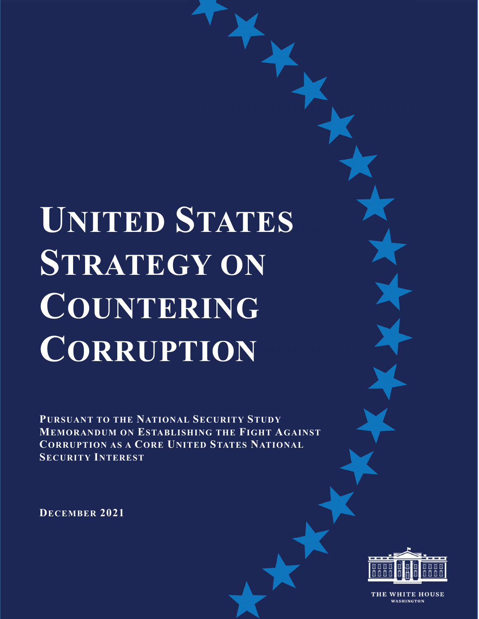# **UNITED STATES STRATEGY ON COUNTERING CORRUPTION**

**PURSUANT TO THE NATIONAL SECURITY STUDY MEMORANDUM ON ESTABLISHING THE FIGHT AGAINST CORRUPTION AS A CORE UNITED STATES NATIONAL SECURITY INTEREST**

**DECEMBER 2021** 



THE WHITE HOUSE WASHINGTON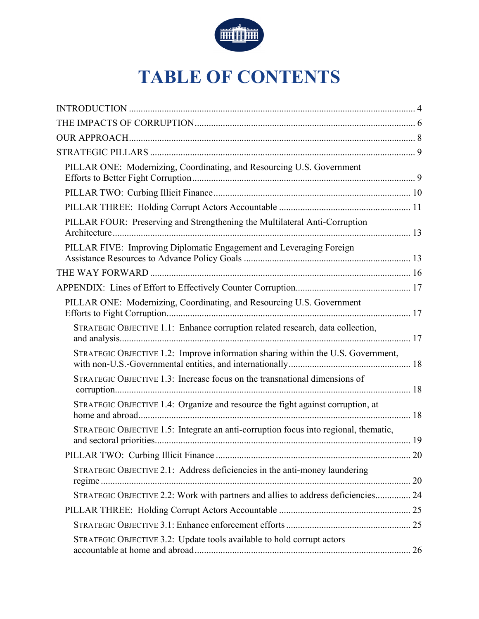

# **TABLE OF CONTENTS**

| PILLAR ONE: Modernizing, Coordinating, and Resourcing U.S. Government                |  |
|--------------------------------------------------------------------------------------|--|
|                                                                                      |  |
|                                                                                      |  |
| PILLAR FOUR: Preserving and Strengthening the Multilateral Anti-Corruption           |  |
| PILLAR FIVE: Improving Diplomatic Engagement and Leveraging Foreign                  |  |
|                                                                                      |  |
|                                                                                      |  |
| PILLAR ONE: Modernizing, Coordinating, and Resourcing U.S. Government                |  |
| STRATEGIC OBJECTIVE 1.1: Enhance corruption related research, data collection,       |  |
| STRATEGIC OBJECTIVE 1.2: Improve information sharing within the U.S. Government,     |  |
| STRATEGIC OBJECTIVE 1.3: Increase focus on the transnational dimensions of           |  |
| STRATEGIC OBJECTIVE 1.4: Organize and resource the fight against corruption, at      |  |
| STRATEGIC OBJECTIVE 1.5: Integrate an anti-corruption focus into regional, thematic, |  |
|                                                                                      |  |
| STRATEGIC OBJECTIVE 2.1: Address deficiencies in the anti-money laundering           |  |
| STRATEGIC OBJECTIVE 2.2: Work with partners and allies to address deficiencies 24    |  |
|                                                                                      |  |
|                                                                                      |  |
| STRATEGIC OBJECTIVE 3.2: Update tools available to hold corrupt actors               |  |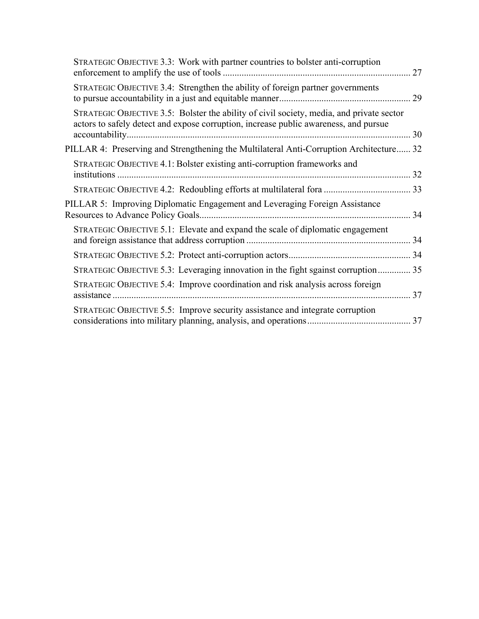| STRATEGIC OBJECTIVE 3.3: Work with partner countries to bolster anti-corruption                                                                                                  |  |
|----------------------------------------------------------------------------------------------------------------------------------------------------------------------------------|--|
| STRATEGIC OBJECTIVE 3.4: Strengthen the ability of foreign partner governments                                                                                                   |  |
| STRATEGIC OBJECTIVE 3.5: Bolster the ability of civil society, media, and private sector<br>actors to safely detect and expose corruption, increase public awareness, and pursue |  |
| PILLAR 4: Preserving and Strengthening the Multilateral Anti-Corruption Architecture 32                                                                                          |  |
| STRATEGIC OBJECTIVE 4.1: Bolster existing anti-corruption frameworks and                                                                                                         |  |
|                                                                                                                                                                                  |  |
| PILLAR 5: Improving Diplomatic Engagement and Leveraging Foreign Assistance                                                                                                      |  |
| STRATEGIC OBJECTIVE 5.1: Elevate and expand the scale of diplomatic engagement                                                                                                   |  |
|                                                                                                                                                                                  |  |
| STRATEGIC OBJECTIVE 5.3: Leveraging innovation in the fight sgainst corruption 35                                                                                                |  |
| STRATEGIC OBJECTIVE 5.4: Improve coordination and risk analysis across foreign                                                                                                   |  |
| STRATEGIC OBJECTIVE 5.5: Improve security assistance and integrate corruption                                                                                                    |  |
|                                                                                                                                                                                  |  |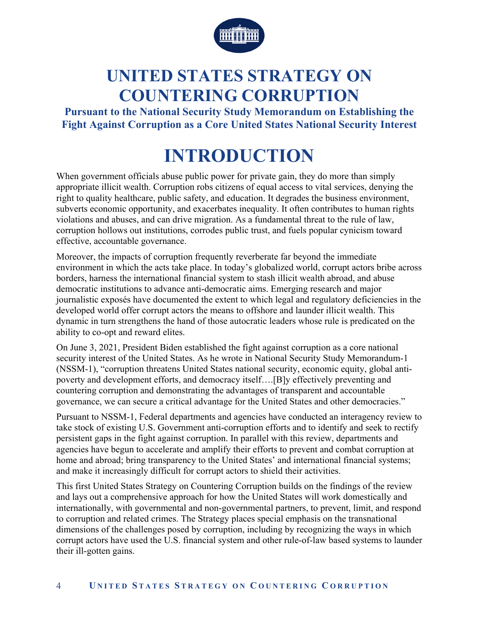

# **UNITED STATES STRATEGY ON COUNTERING CORRUPTION**

**Pursuant to the National Security Study Memorandum on Establishing the Fight Against Corruption as a Core United States National Security Interest** 

# **INTRODUCTION**

When government officials abuse public power for private gain, they do more than simply appropriate illicit wealth. Corruption robs citizens of equal access to vital services, denying the right to quality healthcare, public safety, and education. It degrades the business environment, subverts economic opportunity, and exacerbates inequality. It often contributes to human rights violations and abuses, and can drive migration. As a fundamental threat to the rule of law, corruption hollows out institutions, corrodes public trust, and fuels popular cynicism toward effective, accountable governance.

Moreover, the impacts of corruption frequently reverberate far beyond the immediate environment in which the acts take place. In today's globalized world, corrupt actors bribe across borders, harness the international financial system to stash illicit wealth abroad, and abuse democratic institutions to advance anti-democratic aims. Emerging research and major journalistic exposés have documented the extent to which legal and regulatory deficiencies in the developed world offer corrupt actors the means to offshore and launder illicit wealth. This dynamic in turn strengthens the hand of those autocratic leaders whose rule is predicated on the ability to co-opt and reward elites.

On June 3, 2021, President Biden established the fight against corruption as a core national security interest of the United States. As he wrote in National Security Study Memorandum-1 (NSSM-1), "corruption threatens United States national security, economic equity, global antipoverty and development efforts, and democracy itself….[B]y effectively preventing and countering corruption and demonstrating the advantages of transparent and accountable governance, we can secure a critical advantage for the United States and other democracies."

Pursuant to NSSM-1, Federal departments and agencies have conducted an interagency review to take stock of existing U.S. Government anti-corruption efforts and to identify and seek to rectify persistent gaps in the fight against corruption. In parallel with this review, departments and agencies have begun to accelerate and amplify their efforts to prevent and combat corruption at home and abroad; bring transparency to the United States' and international financial systems; and make it increasingly difficult for corrupt actors to shield their activities.

This first United States Strategy on Countering Corruption builds on the findings of the review and lays out a comprehensive approach for how the United States will work domestically and internationally, with governmental and non-governmental partners, to prevent, limit, and respond to corruption and related crimes. The Strategy places special emphasis on the transnational dimensions of the challenges posed by corruption, including by recognizing the ways in which corrupt actors have used the U.S. financial system and other rule-of-law based systems to launder their ill-gotten gains.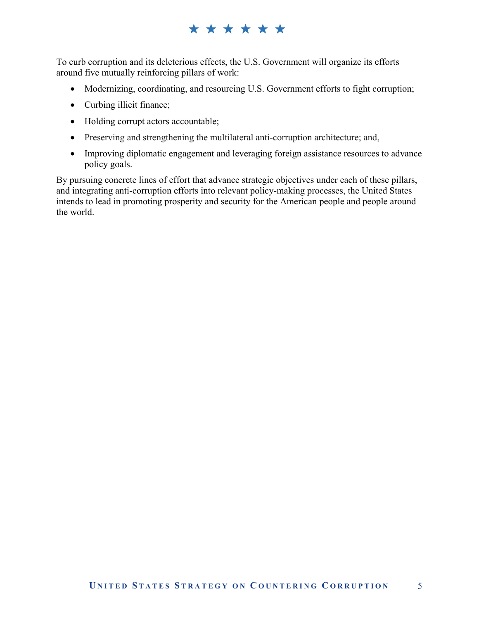# \*\*\*\*\*\*

To curb corruption and its deleterious effects, the U.S. Government will organize its efforts around five mutually reinforcing pillars of work:

- Modernizing, coordinating, and resourcing U.S. Government efforts to fight corruption;
- Curbing illicit finance;
- Holding corrupt actors accountable;
- Preserving and strengthening the multilateral anti-corruption architecture; and,
- Improving diplomatic engagement and leveraging foreign assistance resources to advance policy goals.

By pursuing concrete lines of effort that advance strategic objectives under each of these pillars, and integrating anti-corruption efforts into relevant policy-making processes, the United States intends to lead in promoting prosperity and security for the American people and people around the world.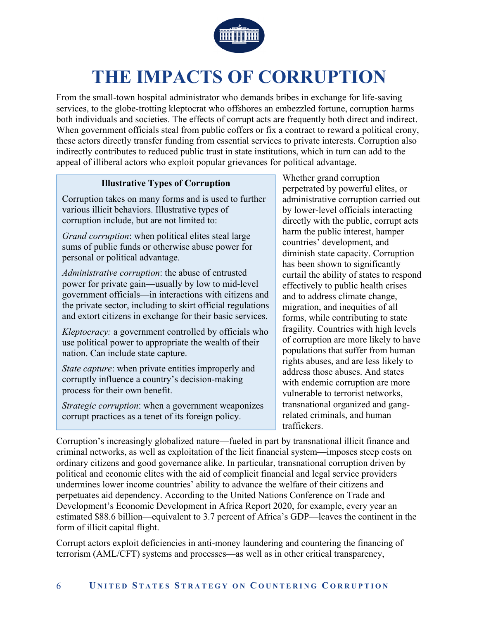

# **THE IMPACTS OF CORRUPTION**

From the small-town hospital administrator who demands bribes in exchange for life-saving services, to the globe-trotting kleptocrat who offshores an embezzled fortune, corruption harms both individuals and societies. The effects of corrupt acts are frequently both direct and indirect. When government officials steal from public coffers or fix a contract to reward a political crony, these actors directly transfer funding from essential services to private interests. Corruption also indirectly contributes to reduced public trust in state institutions, which in turn can add to the appeal of illiberal actors who exploit popular grievances for political advantage.

#### **Illustrative Types of Corruption**

Corruption takes on many forms and is used to further various illicit behaviors. Illustrative types of corruption include, but are not limited to:

*Grand corruption*: when political elites steal large sums of public funds or otherwise abuse power for personal or political advantage.

*Administrative corruption*: the abuse of entrusted power for private gain—usually by low to mid-level government officials—in interactions with citizens and the private sector, including to skirt official regulations and extort citizens in exchange for their basic services.

*Kleptocracy:* a government controlled by officials who use political power to appropriate the wealth of their nation. Can include state capture.

*State capture*: when private entities improperly and corruptly influence a country's decision-making process for their own benefit.

*Strategic corruption*: when a government weaponizes corrupt practices as a tenet of its foreign policy.

Whether grand corruption perpetrated by powerful elites, or administrative corruption carried out by lower-level officials interacting directly with the public, corrupt acts harm the public interest, hamper countries' development, and diminish state capacity. Corruption has been shown to significantly curtail the ability of states to respond effectively to public health crises and to address climate change, migration, and inequities of all forms, while contributing to state fragility. Countries with high levels of corruption are more likely to have populations that suffer from human rights abuses, and are less likely to address those abuses. And states with endemic corruption are more vulnerable to terrorist networks, transnational organized and gangrelated criminals, and human traffickers.

Corruption's increasingly globalized nature—fueled in part by transnational illicit finance and criminal networks, as well as exploitation of the licit financial system—imposes steep costs on ordinary citizens and good governance alike. In particular, transnational corruption driven by political and economic elites with the aid of complicit financial and legal service providers undermines lower income countries' ability to advance the welfare of their citizens and perpetuates aid dependency. According to the United Nations Conference on Trade and Development's Economic Development in Africa Report 2020, for example, every year an estimated \$88.6 billion—equivalent to 3.7 percent of Africa's GDP—leaves the continent in the form of illicit capital flight.

Corrupt actors exploit deficiencies in anti-money laundering and countering the financing of terrorism (AML/CFT) systems and processes—as well as in other critical transparency,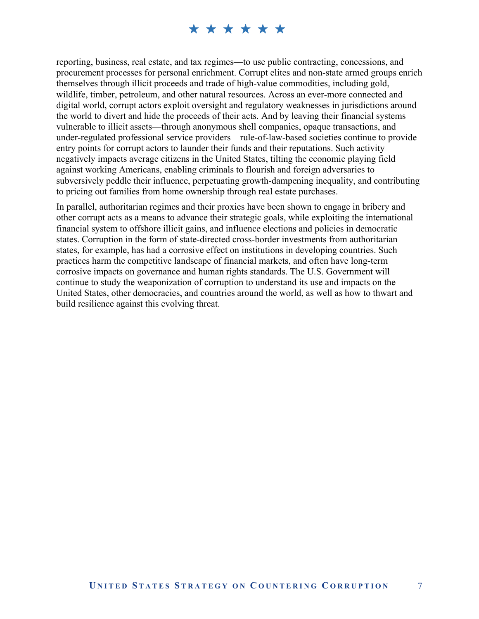reporting, business, real estate, and tax regimes—to use public contracting, concessions, and procurement processes for personal enrichment. Corrupt elites and non-state armed groups enrich themselves through illicit proceeds and trade of high-value commodities, including gold, wildlife, timber, petroleum, and other natural resources. Across an ever-more connected and digital world, corrupt actors exploit oversight and regulatory weaknesses in jurisdictions around the world to divert and hide the proceeds of their acts. And by leaving their financial systems vulnerable to illicit assets—through anonymous shell companies, opaque transactions, and under-regulated professional service providers—rule-of-law-based societies continue to provide entry points for corrupt actors to launder their funds and their reputations. Such activity negatively impacts average citizens in the United States, tilting the economic playing field against working Americans, enabling criminals to flourish and foreign adversaries to subversively peddle their influence, perpetuating growth-dampening inequality, and contributing to pricing out families from home ownership through real estate purchases.

In parallel, authoritarian regimes and their proxies have been shown to engage in bribery and other corrupt acts as a means to advance their strategic goals, while exploiting the international financial system to offshore illicit gains, and influence elections and policies in democratic states. Corruption in the form of state-directed cross-border investments from authoritarian states, for example, has had a corrosive effect on institutions in developing countries. Such practices harm the competitive landscape of financial markets, and often have long-term corrosive impacts on governance and human rights standards. The U.S. Government will continue to study the weaponization of corruption to understand its use and impacts on the United States, other democracies, and countries around the world, as well as how to thwart and build resilience against this evolving threat.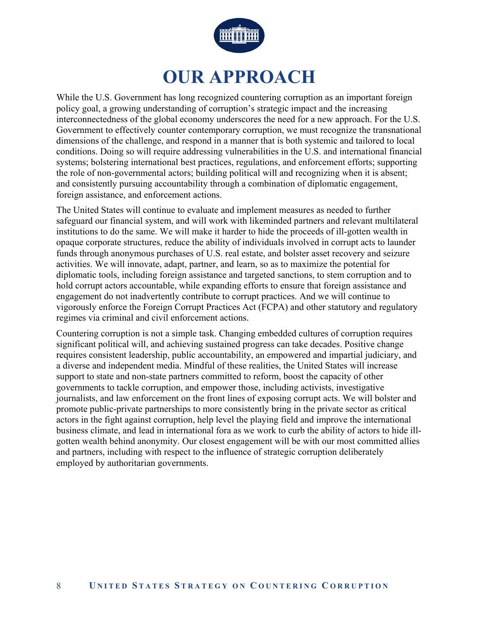

# **OUR APPROACH**

While the U.S. Government has long recognized countering corruption as an important foreign policy goal, a growing understanding of corruption's strategic impact and the increasing interconnectedness of the global economy underscores the need for a new approach. For the U.S. Government to effectively counter contemporary corruption, we must recognize the transnational dimensions of the challenge, and respond in a manner that is both systemic and tailored to local conditions. Doing so will require addressing vulnerabilities in the U.S. and international financial systems; bolstering international best practices, regulations, and enforcement efforts; supporting the role of non-governmental actors; building political will and recognizing when it is absent; and consistently pursuing accountability through a combination of diplomatic engagement, foreign assistance, and enforcement actions.

The United States will continue to evaluate and implement measures as needed to further safeguard our financial system, and will work with likeminded partners and relevant multilateral institutions to do the same. We will make it harder to hide the proceeds of ill-gotten wealth in opaque corporate structures, reduce the ability of individuals involved in corrupt acts to launder funds through anonymous purchases of U.S. real estate, and bolster asset recovery and seizure activities. We will innovate, adapt, partner, and learn, so as to maximize the potential for diplomatic tools, including foreign assistance and targeted sanctions, to stem corruption and to hold corrupt actors accountable, while expanding efforts to ensure that foreign assistance and engagement do not inadvertently contribute to corrupt practices. And we will continue to vigorously enforce the Foreign Corrupt Practices Act (FCPA) and other statutory and regulatory regimes via criminal and civil enforcement actions.

Countering corruption is not a simple task. Changing embedded cultures of corruption requires significant political will, and achieving sustained progress can take decades. Positive change requires consistent leadership, public accountability, an empowered and impartial judiciary, and a diverse and independent media. Mindful of these realities, the United States will increase support to state and non-state partners committed to reform, boost the capacity of other governments to tackle corruption, and empower those, including activists, investigative journalists, and law enforcement on the front lines of exposing corrupt acts. We will bolster and promote public-private partnerships to more consistently bring in the private sector as critical actors in the fight against corruption, help level the playing field and improve the international business climate, and lead in international fora as we work to curb the ability of actors to hide illgotten wealth behind anonymity. Our closest engagement will be with our most committed allies and partners, including with respect to the influence of strategic corruption deliberately employed by authoritarian governments.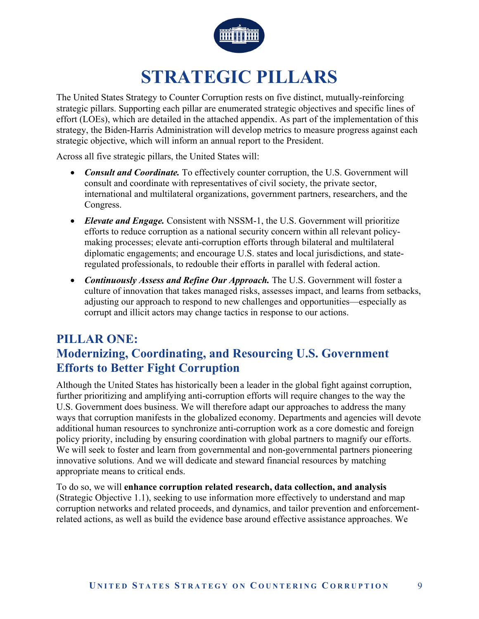

# **STRATEGIC PILLARS**

The United States Strategy to Counter Corruption rests on five distinct, mutually-reinforcing strategic pillars. Supporting each pillar are enumerated strategic objectives and specific lines of effort (LOEs), which are detailed in the attached appendix. As part of the implementation of this strategy, the Biden-Harris Administration will develop metrics to measure progress against each strategic objective, which will inform an annual report to the President.

Across all five strategic pillars, the United States will:

- *Consult and Coordinate.* To effectively counter corruption, the U.S. Government will consult and coordinate with representatives of civil society, the private sector, international and multilateral organizations, government partners, researchers, and the Congress.
- *Elevate and Engage.* Consistent with NSSM-1, the U.S. Government will prioritize efforts to reduce corruption as a national security concern within all relevant policymaking processes; elevate anti-corruption efforts through bilateral and multilateral diplomatic engagements; and encourage U.S. states and local jurisdictions, and stateregulated professionals, to redouble their efforts in parallel with federal action.
- **•** Continuously Assess and Refine Our Approach. The U.S. Government will foster a culture of innovation that takes managed risks, assesses impact, and learns from setbacks, adjusting our approach to respond to new challenges and opportunities—especially as corrupt and illicit actors may change tactics in response to our actions.

# **PILLAR ONE: Modernizing, Coordinating, and Resourcing U.S. Government Efforts to Better Fight Corruption**

Although the United States has historically been a leader in the global fight against corruption, further prioritizing and amplifying anti-corruption efforts will require changes to the way the U.S. Government does business. We will therefore adapt our approaches to address the many ways that corruption manifests in the globalized economy. Departments and agencies will devote additional human resources to synchronize anti-corruption work as a core domestic and foreign policy priority, including by ensuring coordination with global partners to magnify our efforts. We will seek to foster and learn from governmental and non-governmental partners pioneering innovative solutions. And we will dedicate and steward financial resources by matching appropriate means to critical ends.

To do so, we will **enhance corruption related research, data collection, and analysis**  (Strategic Objective 1.1), seeking to use information more effectively to understand and map corruption networks and related proceeds, and dynamics, and tailor prevention and enforcementrelated actions, as well as build the evidence base around effective assistance approaches. We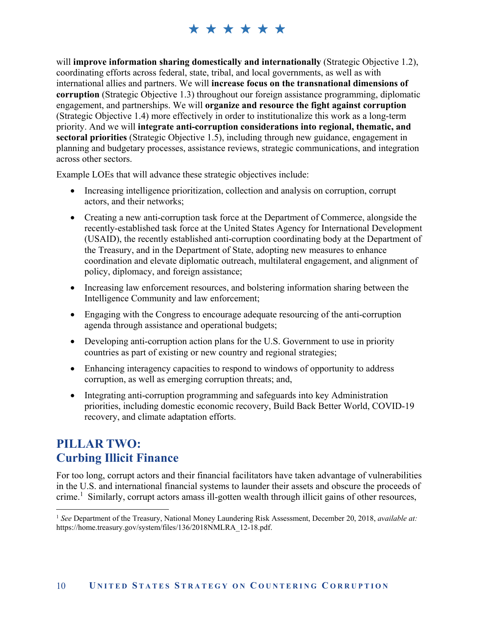will **improve information sharing domestically and internationally** (Strategic Objective 1.2), coordinating efforts across federal, state, tribal, and local governments, as well as with international allies and partners. We will **increase focus on the transnational dimensions of corruption** (Strategic Objective 1.3) throughout our foreign assistance programming, diplomatic engagement, and partnerships. We will **organize and resource the fight against corruption**  (Strategic Objective 1.4) more effectively in order to institutionalize this work as a long-term priority. And we will **integrate anti-corruption considerations into regional, thematic, and sectoral priorities** (Strategic Objective 1.5), including through new guidance, engagement in planning and budgetary processes, assistance reviews, strategic communications, and integration across other sectors.

Example LOEs that will advance these strategic objectives include:

- Increasing intelligence prioritization, collection and analysis on corruption, corrupt actors, and their networks;
- Creating a new anti-corruption task force at the Department of Commerce, alongside the recently-established task force at the United States Agency for International Development (USAID), the recently established anti-corruption coordinating body at the Department of the Treasury, and in the Department of State, adopting new measures to enhance coordination and elevate diplomatic outreach, multilateral engagement, and alignment of policy, diplomacy, and foreign assistance;
- Increasing law enforcement resources, and bolstering information sharing between the Intelligence Community and law enforcement;
- Engaging with the Congress to encourage adequate resourcing of the anti-corruption agenda through assistance and operational budgets;
- Developing anti-corruption action plans for the U.S. Government to use in priority countries as part of existing or new country and regional strategies;
- Enhancing interagency capacities to respond to windows of opportunity to address corruption, as well as emerging corruption threats; and,
- Integrating anti-corruption programming and safeguards into key Administration priorities, including domestic economic recovery, Build Back Better World, COVID-19 recovery, and climate adaptation efforts.

# **PILLAR TWO: Curbing Illicit Finance**

1

For too long, corrupt actors and their financial facilitators have taken advantage of vulnerabilities in the U.S. and international financial systems to launder their assets and obscure the proceeds of crime.<sup>1</sup> Similarly, corrupt actors amass ill-gotten wealth through illicit gains of other resources,

<sup>1</sup> *See* Department of the Treasury, National Money Laundering Risk Assessment, December 20, 2018, *available at:* https://home.treasury.gov/system/files/136/2018NMLRA\_12-18.pdf.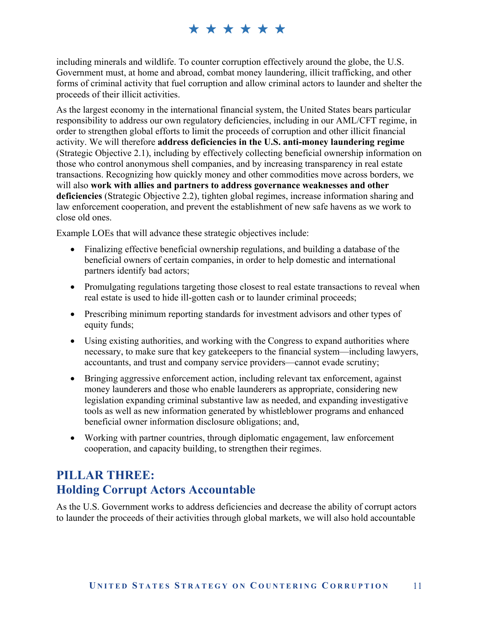including minerals and wildlife. To counter corruption effectively around the globe, the U.S. Government must, at home and abroad, combat money laundering, illicit trafficking, and other forms of criminal activity that fuel corruption and allow criminal actors to launder and shelter the proceeds of their illicit activities.

As the largest economy in the international financial system, the United States bears particular responsibility to address our own regulatory deficiencies, including in our AML/CFT regime, in order to strengthen global efforts to limit the proceeds of corruption and other illicit financial activity. We will therefore **address deficiencies in the U.S. anti-money laundering regime**  (Strategic Objective 2.1), including by effectively collecting beneficial ownership information on those who control anonymous shell companies, and by increasing transparency in real estate transactions. Recognizing how quickly money and other commodities move across borders, we will also **work with allies and partners to address governance weaknesses and other deficiencies** (Strategic Objective 2.2), tighten global regimes, increase information sharing and law enforcement cooperation, and prevent the establishment of new safe havens as we work to close old ones.

Example LOEs that will advance these strategic objectives include:

- Finalizing effective beneficial ownership regulations, and building a database of the beneficial owners of certain companies, in order to help domestic and international partners identify bad actors;
- Promulgating regulations targeting those closest to real estate transactions to reveal when real estate is used to hide ill-gotten cash or to launder criminal proceeds;
- Prescribing minimum reporting standards for investment advisors and other types of equity funds;
- Using existing authorities, and working with the Congress to expand authorities where necessary, to make sure that key gatekeepers to the financial system—including lawyers, accountants, and trust and company service providers—cannot evade scrutiny;
- Bringing aggressive enforcement action, including relevant tax enforcement, against money launderers and those who enable launderers as appropriate, considering new legislation expanding criminal substantive law as needed, and expanding investigative tools as well as new information generated by whistleblower programs and enhanced beneficial owner information disclosure obligations; and,
- Working with partner countries, through diplomatic engagement, law enforcement cooperation, and capacity building, to strengthen their regimes.

# **PILLAR THREE: Holding Corrupt Actors Accountable**

As the U.S. Government works to address deficiencies and decrease the ability of corrupt actors to launder the proceeds of their activities through global markets, we will also hold accountable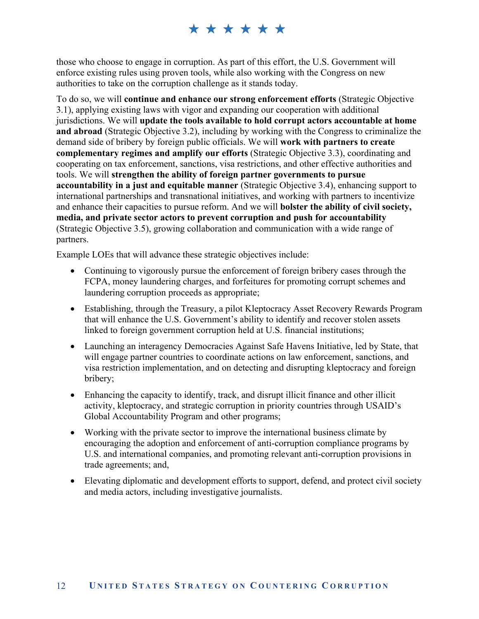those who choose to engage in corruption. As part of this effort, the U.S. Government will enforce existing rules using proven tools, while also working with the Congress on new authorities to take on the corruption challenge as it stands today.

To do so, we will **continue and enhance our strong enforcement efforts** (Strategic Objective 3.1), applying existing laws with vigor and expanding our cooperation with additional jurisdictions. We will **update the tools available to hold corrupt actors accountable at home and abroad** (Strategic Objective 3.2), including by working with the Congress to criminalize the demand side of bribery by foreign public officials. We will **work with partners to create complementary regimes and amplify our efforts** (Strategic Objective 3.3), coordinating and cooperating on tax enforcement, sanctions, visa restrictions, and other effective authorities and tools. We will **strengthen the ability of foreign partner governments to pursue accountability in a just and equitable manner** (Strategic Objective 3.4), enhancing support to international partnerships and transnational initiatives, and working with partners to incentivize and enhance their capacities to pursue reform. And we will **bolster the ability of civil society, media, and private sector actors to prevent corruption and push for accountability** (Strategic Objective 3.5), growing collaboration and communication with a wide range of partners.

Example LOEs that will advance these strategic objectives include:

- Continuing to vigorously pursue the enforcement of foreign bribery cases through the FCPA, money laundering charges, and forfeitures for promoting corrupt schemes and laundering corruption proceeds as appropriate;
- Establishing, through the Treasury, a pilot Kleptocracy Asset Recovery Rewards Program that will enhance the U.S. Government's ability to identify and recover stolen assets linked to foreign government corruption held at U.S. financial institutions;
- Launching an interagency Democracies Against Safe Havens Initiative, led by State, that will engage partner countries to coordinate actions on law enforcement, sanctions, and visa restriction implementation, and on detecting and disrupting kleptocracy and foreign bribery;
- Enhancing the capacity to identify, track, and disrupt illicit finance and other illicit activity, kleptocracy, and strategic corruption in priority countries through USAID's Global Accountability Program and other programs;
- Working with the private sector to improve the international business climate by encouraging the adoption and enforcement of anti-corruption compliance programs by U.S. and international companies, and promoting relevant anti-corruption provisions in trade agreements; and,
- Elevating diplomatic and development efforts to support, defend, and protect civil society and media actors, including investigative journalists.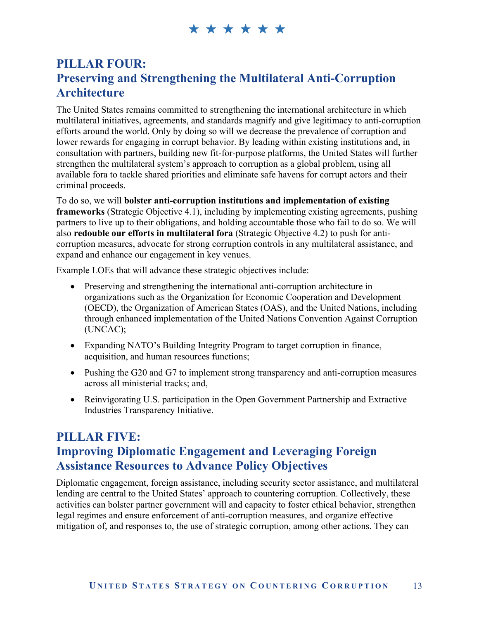# **PILLAR FOUR: Preserving and Strengthening the Multilateral Anti-Corruption Architecture**

The United States remains committed to strengthening the international architecture in which multilateral initiatives, agreements, and standards magnify and give legitimacy to anti-corruption efforts around the world. Only by doing so will we decrease the prevalence of corruption and lower rewards for engaging in corrupt behavior. By leading within existing institutions and, in consultation with partners, building new fit-for-purpose platforms, the United States will further strengthen the multilateral system's approach to corruption as a global problem, using all available fora to tackle shared priorities and eliminate safe havens for corrupt actors and their criminal proceeds.

To do so, we will **bolster anti-corruption institutions and implementation of existing frameworks** (Strategic Objective 4.1), including by implementing existing agreements, pushing partners to live up to their obligations, and holding accountable those who fail to do so. We will also **redouble our efforts in multilateral fora** (Strategic Objective 4.2) to push for anticorruption measures, advocate for strong corruption controls in any multilateral assistance, and expand and enhance our engagement in key venues.

Example LOEs that will advance these strategic objectives include:

- Preserving and strengthening the international anti-corruption architecture in organizations such as the Organization for Economic Cooperation and Development (OECD), the Organization of American States (OAS), and the United Nations, including through enhanced implementation of the United Nations Convention Against Corruption (UNCAC);
- Expanding NATO's Building Integrity Program to target corruption in finance, acquisition, and human resources functions;
- Pushing the G20 and G7 to implement strong transparency and anti-corruption measures across all ministerial tracks; and,
- Reinvigorating U.S. participation in the Open Government Partnership and Extractive Industries Transparency Initiative.

# **PILLAR FIVE: Improving Diplomatic Engagement and Leveraging Foreign Assistance Resources to Advance Policy Objectives**

Diplomatic engagement, foreign assistance, including security sector assistance, and multilateral lending are central to the United States' approach to countering corruption. Collectively, these activities can bolster partner government will and capacity to foster ethical behavior, strengthen legal regimes and ensure enforcement of anti-corruption measures, and organize effective mitigation of, and responses to, the use of strategic corruption, among other actions. They can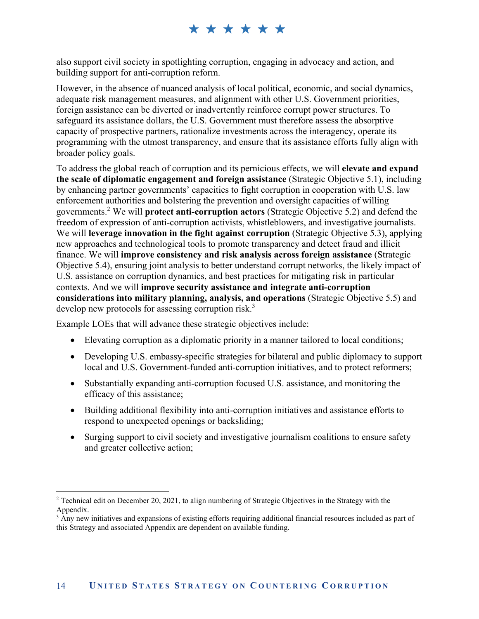also support civil society in spotlighting corruption, engaging in advocacy and action, and building support for anti-corruption reform.

However, in the absence of nuanced analysis of local political, economic, and social dynamics, adequate risk management measures, and alignment with other U.S. Government priorities, foreign assistance can be diverted or inadvertently reinforce corrupt power structures. To safeguard its assistance dollars, the U.S. Government must therefore assess the absorptive capacity of prospective partners, rationalize investments across the interagency, operate its programming with the utmost transparency, and ensure that its assistance efforts fully align with broader policy goals.

To address the global reach of corruption and its pernicious effects, we will **elevate and expand the scale of diplomatic engagement and foreign assistance** (Strategic Objective 5.1), including by enhancing partner governments' capacities to fight corruption in cooperation with U.S. law enforcement authorities and bolstering the prevention and oversight capacities of willing governments.2 We will **protect anti-corruption actors** (Strategic Objective 5.2) and defend the freedom of expression of anti-corruption activists, whistleblowers, and investigative journalists. We will **leverage innovation in the fight against corruption** (Strategic Objective 5.3), applying new approaches and technological tools to promote transparency and detect fraud and illicit finance. We will **improve consistency and risk analysis across foreign assistance** (Strategic Objective 5.4), ensuring joint analysis to better understand corrupt networks, the likely impact of U.S. assistance on corruption dynamics, and best practices for mitigating risk in particular contexts. And we will **improve security assistance and integrate anti-corruption considerations into military planning, analysis, and operations** (Strategic Objective 5.5) and develop new protocols for assessing corruption risk.<sup>3</sup>

Example LOEs that will advance these strategic objectives include:

- Elevating corruption as a diplomatic priority in a manner tailored to local conditions;
- Developing U.S. embassy-specific strategies for bilateral and public diplomacy to support local and U.S. Government-funded anti-corruption initiatives, and to protect reformers;
- Substantially expanding anti-corruption focused U.S. assistance, and monitoring the efficacy of this assistance;
- Building additional flexibility into anti-corruption initiatives and assistance efforts to respond to unexpected openings or backsliding;
- Surging support to civil society and investigative journalism coalitions to ensure safety and greater collective action;

<sup>&</sup>lt;u>.</u> <sup>2</sup> Technical edit on December 20, 2021, to align numbering of Strategic Objectives in the Strategy with the Appendix.

<sup>&</sup>lt;sup>3</sup> Any new initiatives and expansions of existing efforts requiring additional financial resources included as part of this Strategy and associated Appendix are dependent on available funding.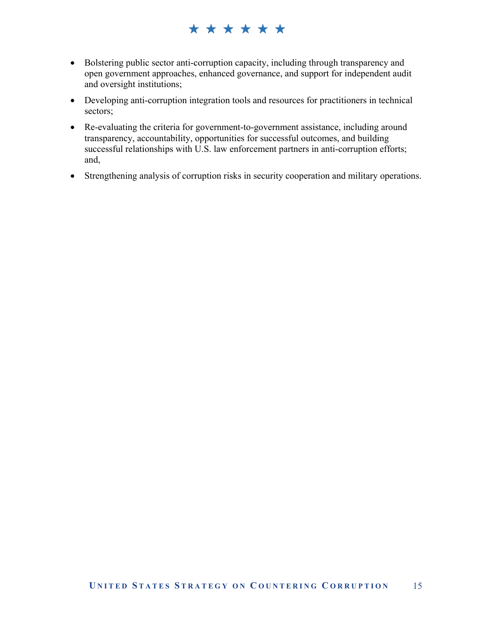# \*\*\*\*\*\*

- Bolstering public sector anti-corruption capacity, including through transparency and open government approaches, enhanced governance, and support for independent audit and oversight institutions;
- Developing anti-corruption integration tools and resources for practitioners in technical sectors;
- Re-evaluating the criteria for government-to-government assistance, including around transparency, accountability, opportunities for successful outcomes, and building successful relationships with U.S. law enforcement partners in anti-corruption efforts; and,
- Strengthening analysis of corruption risks in security cooperation and military operations.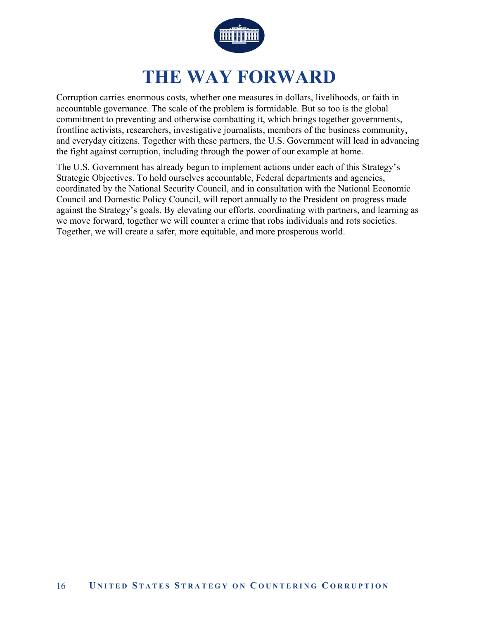

# **THE WAY FORWARD**

Corruption carries enormous costs, whether one measures in dollars, livelihoods, or faith in accountable governance. The scale of the problem is formidable. But so too is the global commitment to preventing and otherwise combatting it, which brings together governments, frontline activists, researchers, investigative journalists, members of the business community, and everyday citizens. Together with these partners, the U.S. Government will lead in advancing the fight against corruption, including through the power of our example at home.

The U.S. Government has already begun to implement actions under each of this Strategy's Strategic Objectives. To hold ourselves accountable, Federal departments and agencies, coordinated by the National Security Council, and in consultation with the National Economic Council and Domestic Policy Council, will report annually to the President on progress made against the Strategy's goals. By elevating our efforts, coordinating with partners, and learning as we move forward, together we will counter a crime that robs individuals and rots societies. Together, we will create a safer, more equitable, and more prosperous world.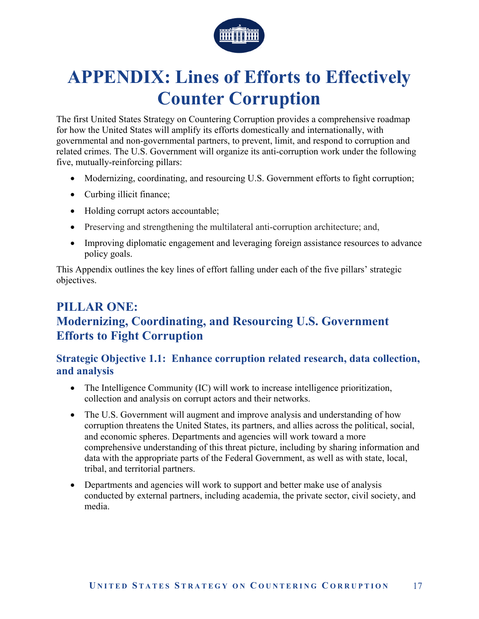

# **APPENDIX: Lines of Efforts to Effectively Counter Corruption**

The first United States Strategy on Countering Corruption provides a comprehensive roadmap for how the United States will amplify its efforts domestically and internationally, with governmental and non-governmental partners, to prevent, limit, and respond to corruption and related crimes. The U.S. Government will organize its anti-corruption work under the following five, mutually-reinforcing pillars:

- Modernizing, coordinating, and resourcing U.S. Government efforts to fight corruption;
- Curbing illicit finance;
- Holding corrupt actors accountable;
- Preserving and strengthening the multilateral anti-corruption architecture; and,
- Improving diplomatic engagement and leveraging foreign assistance resources to advance policy goals.

This Appendix outlines the key lines of effort falling under each of the five pillars' strategic objectives.

# **PILLAR ONE: Modernizing, Coordinating, and Resourcing U.S. Government Efforts to Fight Corruption**

#### **Strategic Objective 1.1: Enhance corruption related research, data collection, and analysis**

- The Intelligence Community (IC) will work to increase intelligence prioritization, collection and analysis on corrupt actors and their networks.
- The U.S. Government will augment and improve analysis and understanding of how corruption threatens the United States, its partners, and allies across the political, social, and economic spheres. Departments and agencies will work toward a more comprehensive understanding of this threat picture, including by sharing information and data with the appropriate parts of the Federal Government, as well as with state, local, tribal, and territorial partners.
- Departments and agencies will work to support and better make use of analysis conducted by external partners, including academia, the private sector, civil society, and media.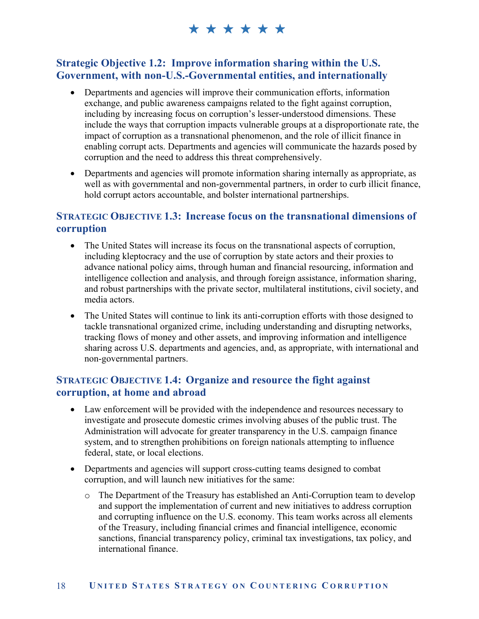#### **Strategic Objective 1.2: Improve information sharing within the U.S. Government, with non-U.S.-Governmental entities, and internationally**

- Departments and agencies will improve their communication efforts, information exchange, and public awareness campaigns related to the fight against corruption, including by increasing focus on corruption's lesser-understood dimensions. These include the ways that corruption impacts vulnerable groups at a disproportionate rate, the impact of corruption as a transnational phenomenon, and the role of illicit finance in enabling corrupt acts. Departments and agencies will communicate the hazards posed by corruption and the need to address this threat comprehensively.
- Departments and agencies will promote information sharing internally as appropriate, as well as with governmental and non-governmental partners, in order to curb illicit finance, hold corrupt actors accountable, and bolster international partnerships.

#### **STRATEGIC OBJECTIVE 1.3: Increase focus on the transnational dimensions of corruption**

- The United States will increase its focus on the transnational aspects of corruption, including kleptocracy and the use of corruption by state actors and their proxies to advance national policy aims, through human and financial resourcing, information and intelligence collection and analysis, and through foreign assistance, information sharing, and robust partnerships with the private sector, multilateral institutions, civil society, and media actors.
- The United States will continue to link its anti-corruption efforts with those designed to tackle transnational organized crime, including understanding and disrupting networks, tracking flows of money and other assets, and improving information and intelligence sharing across U.S. departments and agencies, and, as appropriate, with international and non-governmental partners.

#### **STRATEGIC OBJECTIVE 1.4: Organize and resource the fight against corruption, at home and abroad**

- Law enforcement will be provided with the independence and resources necessary to investigate and prosecute domestic crimes involving abuses of the public trust. The Administration will advocate for greater transparency in the U.S. campaign finance system, and to strengthen prohibitions on foreign nationals attempting to influence federal, state, or local elections.
- Departments and agencies will support cross-cutting teams designed to combat corruption, and will launch new initiatives for the same:
	- o The Department of the Treasury has established an Anti-Corruption team to develop and support the implementation of current and new initiatives to address corruption and corrupting influence on the U.S. economy. This team works across all elements of the Treasury, including financial crimes and financial intelligence, economic sanctions, financial transparency policy, criminal tax investigations, tax policy, and international finance.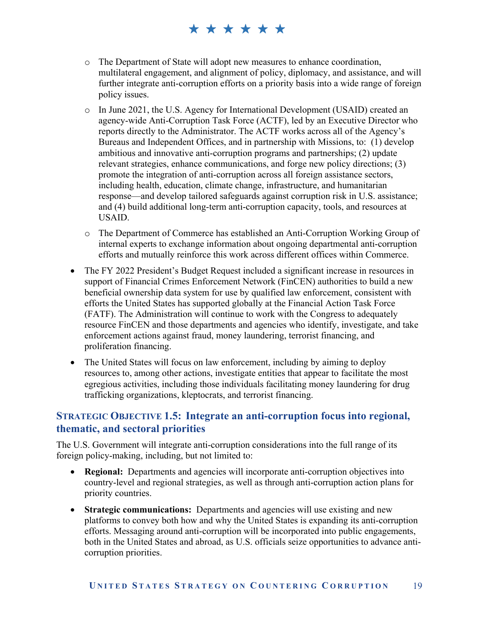- o The Department of State will adopt new measures to enhance coordination, multilateral engagement, and alignment of policy, diplomacy, and assistance, and will further integrate anti-corruption efforts on a priority basis into a wide range of foreign policy issues.
- o In June 2021, the U.S. Agency for International Development (USAID) created an agency-wide Anti-Corruption Task Force (ACTF), led by an Executive Director who reports directly to the Administrator. The ACTF works across all of the Agency's Bureaus and Independent Offices, and in partnership with Missions, to: (1) develop ambitious and innovative anti-corruption programs and partnerships; (2) update relevant strategies, enhance communications, and forge new policy directions; (3) promote the integration of anti-corruption across all foreign assistance sectors, including health, education, climate change, infrastructure, and humanitarian response—and develop tailored safeguards against corruption risk in U.S. assistance; and (4) build additional long-term anti-corruption capacity, tools, and resources at USAID.
- o The Department of Commerce has established an Anti-Corruption Working Group of internal experts to exchange information about ongoing departmental anti-corruption efforts and mutually reinforce this work across different offices within Commerce.
- The FY 2022 President's Budget Request included a significant increase in resources in support of Financial Crimes Enforcement Network (FinCEN) authorities to build a new beneficial ownership data system for use by qualified law enforcement, consistent with efforts the United States has supported globally at the Financial Action Task Force (FATF). The Administration will continue to work with the Congress to adequately resource FinCEN and those departments and agencies who identify, investigate, and take enforcement actions against fraud, money laundering, terrorist financing, and proliferation financing.
- The United States will focus on law enforcement, including by aiming to deploy resources to, among other actions, investigate entities that appear to facilitate the most egregious activities, including those individuals facilitating money laundering for drug trafficking organizations, kleptocrats, and terrorist financing.

#### **STRATEGIC OBJECTIVE 1.5: Integrate an anti-corruption focus into regional, thematic, and sectoral priorities**

The U.S. Government will integrate anti-corruption considerations into the full range of its foreign policy-making, including, but not limited to:

- **Regional:** Departments and agencies will incorporate anti-corruption objectives into country-level and regional strategies, as well as through anti-corruption action plans for priority countries.
- **Strategic communications:** Departments and agencies will use existing and new platforms to convey both how and why the United States is expanding its anti-corruption efforts. Messaging around anti-corruption will be incorporated into public engagements, both in the United States and abroad, as U.S. officials seize opportunities to advance anticorruption priorities.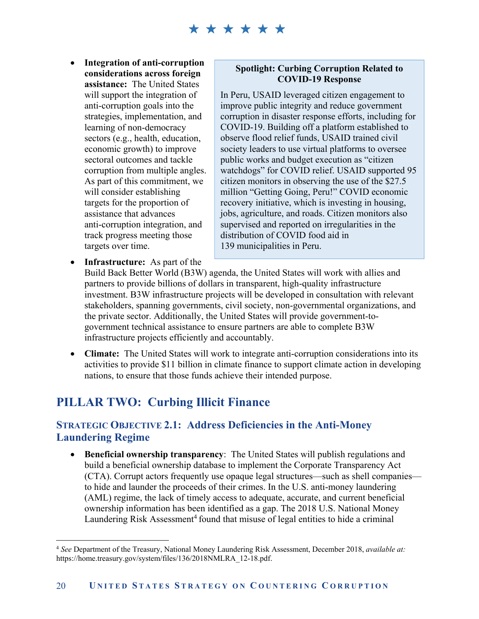**Integration of anti-corruption considerations across foreign assistance:** The United States will support the integration of anti-corruption goals into the strategies, implementation, and learning of non-democracy sectors (e.g., health, education, economic growth) to improve sectoral outcomes and tackle corruption from multiple angles. As part of this commitment, we will consider establishing targets for the proportion of assistance that advances anti-corruption integration, and track progress meeting those targets over time.

#### **Spotlight: Curbing Corruption Related to COVID-19 Response**

In Peru, USAID leveraged citizen engagement to improve public integrity and reduce government corruption in disaster response efforts, including for COVID-19. Building off a platform established to observe flood relief funds, USAID trained civil society leaders to use virtual platforms to oversee public works and budget execution as "citizen watchdogs" for COVID relief. USAID supported 95 citizen monitors in observing the use of the \$27.5 million "Getting Going, Peru!" COVID economic recovery initiative, which is investing in housing, jobs, agriculture, and roads. Citizen monitors also supervised and reported on irregularities in the distribution of COVID food aid in 139 municipalities in Peru.

 **Infrastructure:** As part of the Build Back Better World (B3W) agenda, the United States will work with allies and partners to provide billions of dollars in transparent, high-quality infrastructure investment. B3W infrastructure projects will be developed in consultation with relevant stakeholders, spanning governments, civil society, non-governmental organizations, and the private sector. Additionally, the United States will provide government-togovernment technical assistance to ensure partners are able to complete B3W infrastructure projects efficiently and accountably.

 **Climate:** The United States will work to integrate anti-corruption considerations into its activities to provide \$11 billion in climate finance to support climate action in developing nations, to ensure that those funds achieve their intended purpose.

# **PILLAR TWO: Curbing Illicit Finance**

<u>.</u>

#### **STRATEGIC OBJECTIVE 2.1: Address Deficiencies in the Anti-Money Laundering Regime**

 **Beneficial ownership transparency**: The United States will publish regulations and build a beneficial ownership database to implement the Corporate Transparency Act (CTA). Corrupt actors frequently use opaque legal structures—such as shell companies to hide and launder the proceeds of their crimes. In the U.S. anti-money laundering (AML) regime, the lack of timely access to adequate, accurate, and current beneficial ownership information has been identified as a gap. The 2018 U.S. National Money Laundering Risk Assessment<sup>4</sup> found that misuse of legal entities to hide a criminal

<sup>4</sup> *See* Department of the Treasury, National Money Laundering Risk Assessment, December 2018, *available at:* https://home.treasury.gov/system/files/136/2018NMLRA\_12-18.pdf.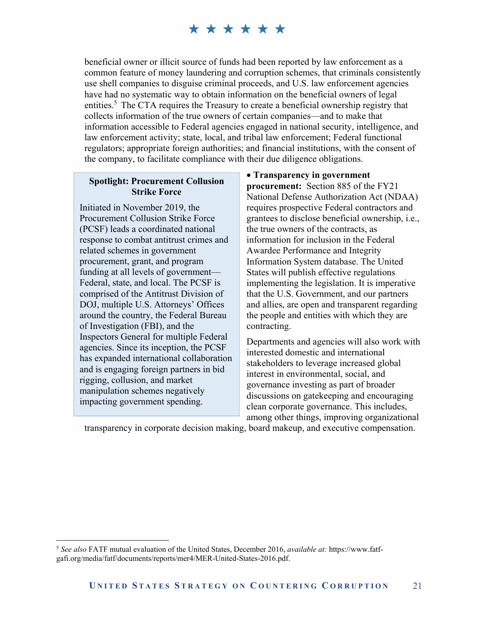beneficial owner or illicit source of funds had been reported by law enforcement as a common feature of money laundering and corruption schemes, that criminals consistently use shell companies to disguise criminal proceeds, and U.S. law enforcement agencies have had no systematic way to obtain information on the beneficial owners of legal entities.<sup>5</sup> The CTA requires the Treasury to create a beneficial ownership registry that collects information of the true owners of certain companies—and to make that information accessible to Federal agencies engaged in national security, intelligence, and law enforcement activity; state, local, and tribal law enforcement; Federal functional regulators; appropriate foreign authorities; and financial institutions, with the consent of the company, to facilitate compliance with their due diligence obligations.

#### **Spotlight: Procurement Collusion Strike Force**

Initiated in November 2019, the Procurement Collusion Strike Force (PCSF) leads a coordinated national response to combat antitrust crimes and related schemes in government procurement, grant, and program funding at all levels of government— Federal, state, and local. The PCSF is comprised of the Antitrust Division of DOJ, multiple U.S. Attorneys' Offices around the country, the Federal Bureau of Investigation (FBI), and the Inspectors General for multiple Federal agencies. Since its inception, the PCSF has expanded international collaboration and is engaging foreign partners in bid rigging, collusion, and market manipulation schemes negatively impacting government spending.

 $\overline{a}$ 

 **Transparency in government procurement:** Section 885 of the FY21 National Defense Authorization Act (NDAA) requires prospective Federal contractors and grantees to disclose beneficial ownership, i.e., the true owners of the contracts, as information for inclusion in the Federal Awardee Performance and Integrity Information System database. The United States will publish effective regulations implementing the legislation. It is imperative that the U.S. Government, and our partners and allies, are open and transparent regarding the people and entities with which they are contracting.

Departments and agencies will also work with interested domestic and international stakeholders to leverage increased global interest in environmental, social, and governance investing as part of broader discussions on gatekeeping and encouraging clean corporate governance. This includes, among other things, improving organizational

transparency in corporate decision making, board makeup, and executive compensation.

<sup>5</sup> *See also* FATF mutual evaluation of the United States, December 2016, *available at:* https://www.fatfgafi.org/media/fatf/documents/reports/mer4/MER-United-States-2016.pdf.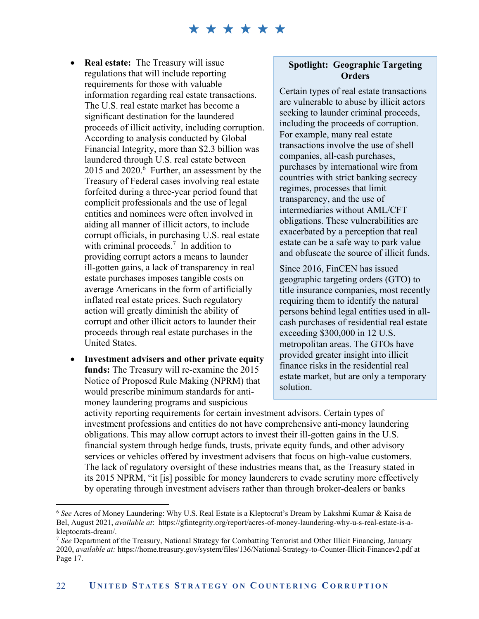- **Real estate:** The Treasury will issue regulations that will include reporting requirements for those with valuable information regarding real estate transactions. The U.S. real estate market has become a significant destination for the laundered proceeds of illicit activity, including corruption. According to analysis conducted by Global Financial Integrity, more than \$2.3 billion was laundered through U.S. real estate between 2015 and 2020.<sup>6</sup> Further, an assessment by the Treasury of Federal cases involving real estate forfeited during a three-year period found that complicit professionals and the use of legal entities and nominees were often involved in aiding all manner of illicit actors, to include corrupt officials, in purchasing U.S. real estate with criminal proceeds.<sup>7</sup> In addition to providing corrupt actors a means to launder ill-gotten gains, a lack of transparency in real estate purchases imposes tangible costs on average Americans in the form of artificially inflated real estate prices. Such regulatory action will greatly diminish the ability of corrupt and other illicit actors to launder their proceeds through real estate purchases in the United States.
- **Investment advisers and other private equity funds:** The Treasury will re-examine the 2015 Notice of Proposed Rule Making (NPRM) that would prescribe minimum standards for antimoney laundering programs and suspicious

1

#### **Spotlight: Geographic Targeting Orders**

Certain types of real estate transactions are vulnerable to abuse by illicit actors seeking to launder criminal proceeds, including the proceeds of corruption. For example, many real estate transactions involve the use of shell companies, all-cash purchases, purchases by international wire from countries with strict banking secrecy regimes, processes that limit transparency, and the use of intermediaries without AML/CFT obligations. These vulnerabilities are exacerbated by a perception that real estate can be a safe way to park value and obfuscate the source of illicit funds.

Since 2016, FinCEN has issued geographic targeting orders (GTO) to title insurance companies, most recently requiring them to identify the natural persons behind legal entities used in allcash purchases of residential real estate exceeding \$300,000 in 12 U.S. metropolitan areas. The GTOs have provided greater insight into illicit finance risks in the residential real estate market, but are only a temporary solution.

activity reporting requirements for certain investment advisors. Certain types of investment professions and entities do not have comprehensive anti-money laundering obligations. This may allow corrupt actors to invest their ill-gotten gains in the U.S. financial system through hedge funds, trusts, private equity funds, and other advisory services or vehicles offered by investment advisers that focus on high-value customers. The lack of regulatory oversight of these industries means that, as the Treasury stated in its 2015 NPRM, "it [is] possible for money launderers to evade scrutiny more effectively by operating through investment advisers rather than through broker-dealers or banks

<sup>6</sup> *See* Acres of Money Laundering: Why U.S. Real Estate is a Kleptocrat's Dream by Lakshmi Kumar & Kaisa de Bel, August 2021, *available at*: https://gfintegrity.org/report/acres-of-money-laundering-why-u-s-real-estate-is-akleptocrats-dream/.

<sup>7</sup> *See* Department of the Treasury, National Strategy for Combatting Terrorist and Other Illicit Financing, January 2020, *available at:* https://home.treasury.gov/system/files/136/National-Strategy-to-Counter-Illicit-Financev2.pdf at Page 17.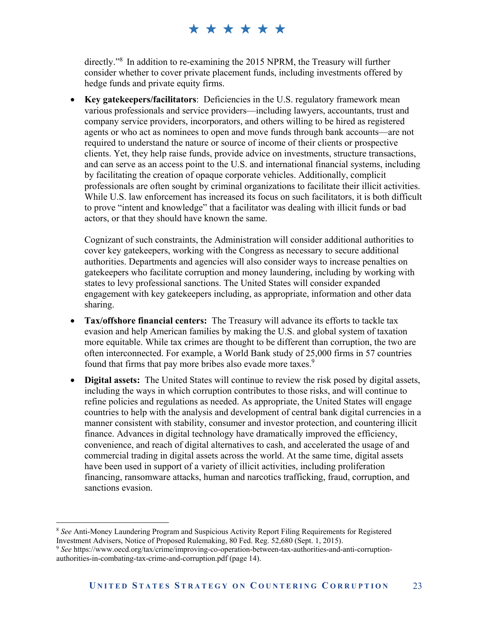directly."8 In addition to re-examining the 2015 NPRM, the Treasury will further consider whether to cover private placement funds, including investments offered by hedge funds and private equity firms.

 **Key gatekeepers/facilitators**: Deficiencies in the U.S. regulatory framework mean various professionals and service providers—including lawyers, accountants, trust and company service providers, incorporators, and others willing to be hired as registered agents or who act as nominees to open and move funds through bank accounts—are not required to understand the nature or source of income of their clients or prospective clients. Yet, they help raise funds, provide advice on investments, structure transactions, and can serve as an access point to the U.S. and international financial systems, including by facilitating the creation of opaque corporate vehicles. Additionally, complicit professionals are often sought by criminal organizations to facilitate their illicit activities. While U.S. law enforcement has increased its focus on such facilitators, it is both difficult to prove "intent and knowledge" that a facilitator was dealing with illicit funds or bad actors, or that they should have known the same.

Cognizant of such constraints, the Administration will consider additional authorities to cover key gatekeepers, working with the Congress as necessary to secure additional authorities. Departments and agencies will also consider ways to increase penalties on gatekeepers who facilitate corruption and money laundering, including by working with states to levy professional sanctions. The United States will consider expanded engagement with key gatekeepers including, as appropriate, information and other data sharing.

- **Tax/offshore financial centers:** The Treasury will advance its efforts to tackle tax evasion and help American families by making the U.S. and global system of taxation more equitable. While tax crimes are thought to be different than corruption, the two are often interconnected. For example, a World Bank study of 25,000 firms in 57 countries found that firms that pay more bribes also evade more taxes.<sup>9</sup>
- **Digital assets:** The United States will continue to review the risk posed by digital assets, including the ways in which corruption contributes to those risks, and will continue to refine policies and regulations as needed. As appropriate, the United States will engage countries to help with the analysis and development of central bank digital currencies in a manner consistent with stability, consumer and investor protection, and countering illicit finance. Advances in digital technology have dramatically improved the efficiency, convenience, and reach of digital alternatives to cash, and accelerated the usage of and commercial trading in digital assets across the world. At the same time, digital assets have been used in support of a variety of illicit activities, including proliferation financing, ransomware attacks, human and narcotics trafficking, fraud, corruption, and sanctions evasion.

1

<sup>8</sup> *See* Anti-Money Laundering Program and Suspicious Activity Report Filing Requirements for Registered Investment Advisers, Notice of Proposed Rulemaking, 80 Fed. Reg. 52,680 (Sept. 1, 2015).

<sup>9</sup> *See* https://www.oecd.org/tax/crime/improving-co-operation-between-tax-authorities-and-anti-corruptionauthorities-in-combating-tax-crime-and-corruption.pdf (page 14).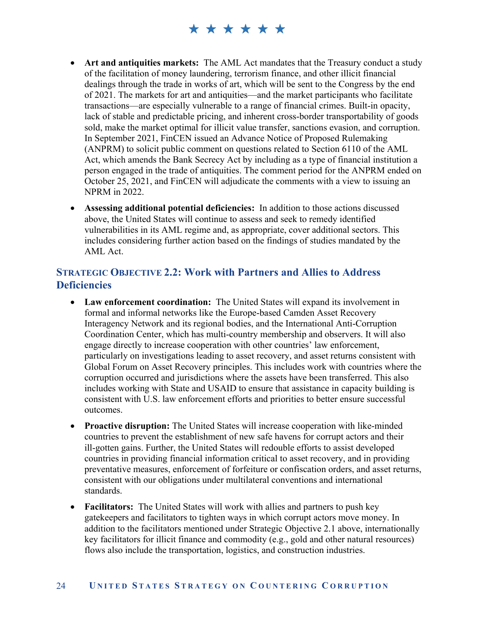- **Art and antiquities markets:** The AML Act mandates that the Treasury conduct a study of the facilitation of money laundering, terrorism finance, and other illicit financial dealings through the trade in works of art, which will be sent to the Congress by the end of 2021. The markets for art and antiquities—and the market participants who facilitate transactions—are especially vulnerable to a range of financial crimes. Built-in opacity, lack of stable and predictable pricing, and inherent cross-border transportability of goods sold, make the market optimal for illicit value transfer, sanctions evasion, and corruption. In September 2021, FinCEN issued an Advance Notice of Proposed Rulemaking (ANPRM) to solicit public comment on questions related to Section 6110 of the AML Act, which amends the Bank Secrecy Act by including as a type of financial institution a person engaged in the trade of antiquities. The comment period for the ANPRM ended on October 25, 2021, and FinCEN will adjudicate the comments with a view to issuing an NPRM in 2022.
- **Assessing additional potential deficiencies:** In addition to those actions discussed above, the United States will continue to assess and seek to remedy identified vulnerabilities in its AML regime and, as appropriate, cover additional sectors. This includes considering further action based on the findings of studies mandated by the AML Act.

#### **STRATEGIC OBJECTIVE 2.2: Work with Partners and Allies to Address Deficiencies**

- **Law enforcement coordination:** The United States will expand its involvement in formal and informal networks like the Europe-based Camden Asset Recovery Interagency Network and its regional bodies, and the International Anti-Corruption Coordination Center, which has multi-country membership and observers. It will also engage directly to increase cooperation with other countries' law enforcement, particularly on investigations leading to asset recovery, and asset returns consistent with Global Forum on Asset Recovery principles. This includes work with countries where the corruption occurred and jurisdictions where the assets have been transferred. This also includes working with State and USAID to ensure that assistance in capacity building is consistent with U.S. law enforcement efforts and priorities to better ensure successful outcomes.
- **Proactive disruption:** The United States will increase cooperation with like-minded countries to prevent the establishment of new safe havens for corrupt actors and their ill-gotten gains. Further, the United States will redouble efforts to assist developed countries in providing financial information critical to asset recovery, and in providing preventative measures, enforcement of forfeiture or confiscation orders, and asset returns, consistent with our obligations under multilateral conventions and international standards.
- **Facilitators:** The United States will work with allies and partners to push key gatekeepers and facilitators to tighten ways in which corrupt actors move money. In addition to the facilitators mentioned under Strategic Objective 2.1 above, internationally key facilitators for illicit finance and commodity (e.g., gold and other natural resources) flows also include the transportation, logistics, and construction industries.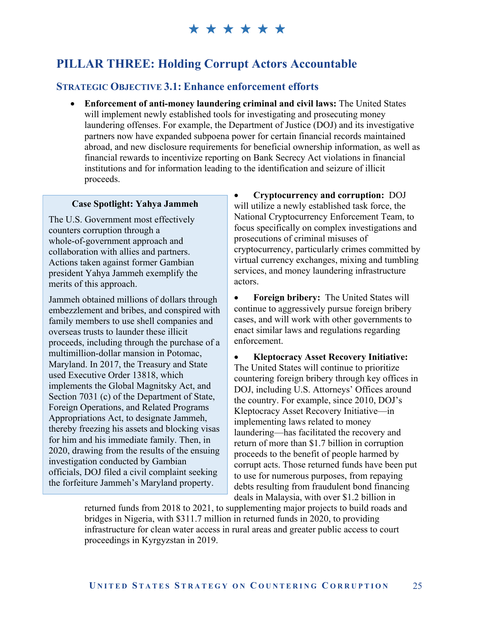### **PILLAR THREE: Holding Corrupt Actors Accountable**

#### **STRATEGIC OBJECTIVE 3.1: Enhance enforcement efforts**

 **Enforcement of anti-money laundering criminal and civil laws:** The United States will implement newly established tools for investigating and prosecuting money laundering offenses. For example, the Department of Justice (DOJ) and its investigative partners now have expanded subpoena power for certain financial records maintained abroad, and new disclosure requirements for beneficial ownership information, as well as financial rewards to incentivize reporting on Bank Secrecy Act violations in financial institutions and for information leading to the identification and seizure of illicit proceeds.

#### **Case Spotlight: Yahya Jammeh**

The U.S. Government most effectively counters corruption through a whole-of-government approach and collaboration with allies and partners. Actions taken against former Gambian president Yahya Jammeh exemplify the merits of this approach.

Jammeh obtained millions of dollars through embezzlement and bribes, and conspired with family members to use shell companies and overseas trusts to launder these illicit proceeds, including through the purchase of a multimillion-dollar mansion in Potomac, Maryland. In 2017, the Treasury and State used Executive Order 13818, which implements the Global Magnitsky Act, and Section 7031 (c) of the Department of State, Foreign Operations, and Related Programs Appropriations Act, to designate Jammeh, thereby freezing his assets and blocking visas for him and his immediate family. Then, in 2020, drawing from the results of the ensuing investigation conducted by Gambian officials, DOJ filed a civil complaint seeking the forfeiture Jammeh's Maryland property.

 **Cryptocurrency and corruption:** DOJ will utilize a newly established task force, the National Cryptocurrency Enforcement Team, to focus specifically on complex investigations and prosecutions of criminal misuses of cryptocurrency, particularly crimes committed by virtual currency exchanges, mixing and tumbling services, and money laundering infrastructure actors.

 **Foreign bribery:** The United States will continue to aggressively pursue foreign bribery cases, and will work with other governments to enact similar laws and regulations regarding enforcement.

 **Kleptocracy Asset Recovery Initiative:** The United States will continue to prioritize countering foreign bribery through key offices in DOJ, including U.S. Attorneys' Offices around the country. For example, since 2010, DOJ's Kleptocracy Asset Recovery Initiative—in implementing laws related to money laundering—has facilitated the recovery and return of more than \$1.7 billion in corruption proceeds to the benefit of people harmed by corrupt acts. Those returned funds have been put to use for numerous purposes, from repaying debts resulting from fraudulent bond financing deals in Malaysia, with over \$1.2 billion in

returned funds from 2018 to 2021, to supplementing major projects to build roads and bridges in Nigeria, with \$311.7 million in returned funds in 2020, to providing infrastructure for clean water access in rural areas and greater public access to court proceedings in Kyrgyzstan in 2019.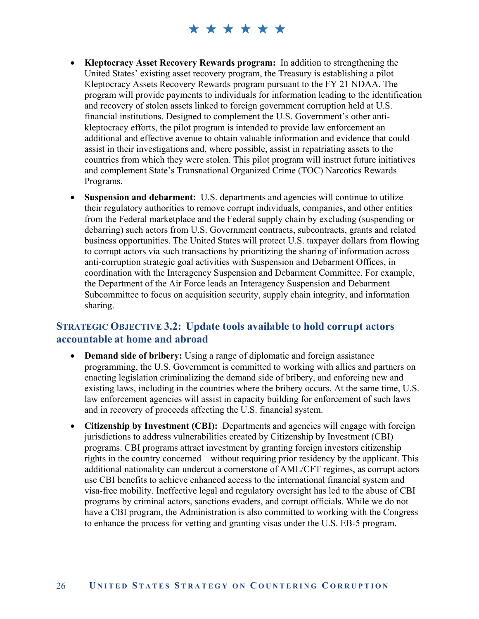- **Kleptocracy Asset Recovery Rewards program:** In addition to strengthening the United States' existing asset recovery program, the Treasury is establishing a pilot Kleptocracy Assets Recovery Rewards program pursuant to the FY 21 NDAA. The program will provide payments to individuals for information leading to the identification and recovery of stolen assets linked to foreign government corruption held at U.S. financial institutions. Designed to complement the U.S. Government's other antikleptocracy efforts, the pilot program is intended to provide law enforcement an additional and effective avenue to obtain valuable information and evidence that could assist in their investigations and, where possible, assist in repatriating assets to the countries from which they were stolen. This pilot program will instruct future initiatives and complement State's Transnational Organized Crime (TOC) Narcotics Rewards Programs.
- **Suspension and debarment:** U.S. departments and agencies will continue to utilize their regulatory authorities to remove corrupt individuals, companies, and other entities from the Federal marketplace and the Federal supply chain by excluding (suspending or debarring) such actors from U.S. Government contracts, subcontracts, grants and related business opportunities. The United States will protect U.S. taxpayer dollars from flowing to corrupt actors via such transactions by prioritizing the sharing of information across anti-corruption strategic goal activities with Suspension and Debarment Offices, in coordination with the Interagency Suspension and Debarment Committee. For example, the Department of the Air Force leads an Interagency Suspension and Debarment Subcommittee to focus on acquisition security, supply chain integrity, and information sharing.

#### **STRATEGIC OBJECTIVE 3.2: Update tools available to hold corrupt actors accountable at home and abroad**

- **Demand side of bribery:** Using a range of diplomatic and foreign assistance programming, the U.S. Government is committed to working with allies and partners on enacting legislation criminalizing the demand side of bribery, and enforcing new and existing laws, including in the countries where the bribery occurs. At the same time, U.S. law enforcement agencies will assist in capacity building for enforcement of such laws and in recovery of proceeds affecting the U.S. financial system.
- **Citizenship by Investment (CBI):** Departments and agencies will engage with foreign jurisdictions to address vulnerabilities created by Citizenship by Investment (CBI) programs. CBI programs attract investment by granting foreign investors citizenship rights in the country concerned—without requiring prior residency by the applicant. This additional nationality can undercut a cornerstone of AML/CFT regimes, as corrupt actors use CBI benefits to achieve enhanced access to the international financial system and visa-free mobility. Ineffective legal and regulatory oversight has led to the abuse of CBI programs by criminal actors, sanctions evaders, and corrupt officials. While we do not have a CBI program, the Administration is also committed to working with the Congress to enhance the process for vetting and granting visas under the U.S. EB-5 program.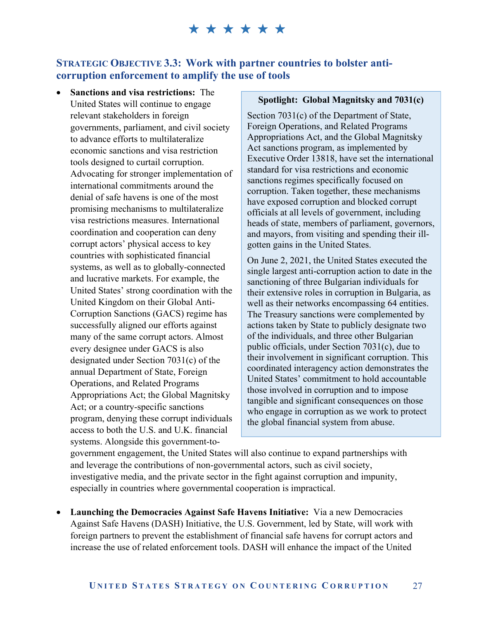#### **STRATEGIC OBJECTIVE 3.3: Work with partner countries to bolster anticorruption enforcement to amplify the use of tools**

 **Sanctions and visa restrictions:** The United States will continue to engage relevant stakeholders in foreign governments, parliament, and civil society to advance efforts to multilateralize economic sanctions and visa restriction tools designed to curtail corruption. Advocating for stronger implementation of international commitments around the denial of safe havens is one of the most promising mechanisms to multilateralize visa restrictions measures. International coordination and cooperation can deny corrupt actors' physical access to key countries with sophisticated financial systems, as well as to globally-connected and lucrative markets. For example, the United States' strong coordination with the United Kingdom on their Global Anti-Corruption Sanctions (GACS) regime has successfully aligned our efforts against many of the same corrupt actors. Almost every designee under GACS is also designated under Section 7031(c) of the annual Department of State, Foreign Operations, and Related Programs Appropriations Act; the Global Magnitsky Act; or a country-specific sanctions program, denying these corrupt individuals access to both the U.S. and U.K. financial systems. Alongside this government-to-

#### **Spotlight: Global Magnitsky and 7031(c)**

Section 7031(c) of the Department of State, Foreign Operations, and Related Programs Appropriations Act, and the Global Magnitsky Act sanctions program, as implemented by Executive Order 13818, have set the international standard for visa restrictions and economic sanctions regimes specifically focused on corruption. Taken together, these mechanisms have exposed corruption and blocked corrupt officials at all levels of government, including heads of state, members of parliament, governors, and mayors, from visiting and spending their illgotten gains in the United States.

On June 2, 2021, the United States executed the single largest anti-corruption action to date in the sanctioning of three Bulgarian individuals for their extensive roles in corruption in Bulgaria, as well as their networks encompassing 64 entities. The Treasury sanctions were complemented by actions taken by State to publicly designate two of the individuals, and three other Bulgarian public officials, under Section 7031(c), due to their involvement in significant corruption. This coordinated interagency action demonstrates the United States' commitment to hold accountable those involved in corruption and to impose tangible and significant consequences on those who engage in corruption as we work to protect the global financial system from abuse.

government engagement, the United States will also continue to expand partnerships with and leverage the contributions of non-governmental actors, such as civil society, investigative media, and the private sector in the fight against corruption and impunity, especially in countries where governmental cooperation is impractical.

 **Launching the Democracies Against Safe Havens Initiative:** Via a new Democracies Against Safe Havens (DASH) Initiative, the U.S. Government, led by State, will work with foreign partners to prevent the establishment of financial safe havens for corrupt actors and increase the use of related enforcement tools. DASH will enhance the impact of the United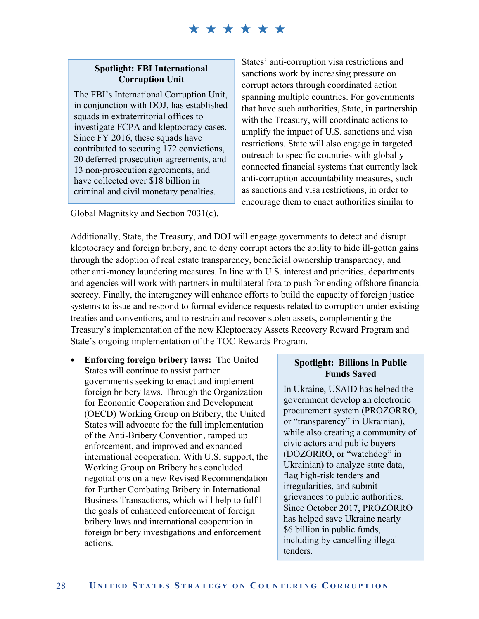#### **Spotlight: FBI International Corruption Unit**

The FBI's International Corruption Unit, in conjunction with DOJ, has established squads in extraterritorial offices to investigate FCPA and kleptocracy cases. Since FY 2016, these squads have contributed to securing 172 convictions, 20 deferred prosecution agreements, and 13 non-prosecution agreements, and have collected over \$18 billion in criminal and civil monetary penalties.

Global Magnitsky and Section 7031(c).

States' anti-corruption visa restrictions and sanctions work by increasing pressure on corrupt actors through coordinated action spanning multiple countries. For governments that have such authorities, State, in partnership with the Treasury, will coordinate actions to amplify the impact of U.S. sanctions and visa restrictions. State will also engage in targeted outreach to specific countries with globallyconnected financial systems that currently lack anti-corruption accountability measures, such as sanctions and visa restrictions, in order to encourage them to enact authorities similar to

Additionally, State, the Treasury, and DOJ will engage governments to detect and disrupt kleptocracy and foreign bribery, and to deny corrupt actors the ability to hide ill-gotten gains through the adoption of real estate transparency, beneficial ownership transparency, and other anti-money laundering measures. In line with U.S. interest and priorities, departments and agencies will work with partners in multilateral fora to push for ending offshore financial secrecy. Finally, the interagency will enhance efforts to build the capacity of foreign justice systems to issue and respond to formal evidence requests related to corruption under existing treaties and conventions, and to restrain and recover stolen assets, complementing the Treasury's implementation of the new Kleptocracy Assets Recovery Reward Program and State's ongoing implementation of the TOC Rewards Program.

 **Enforcing foreign bribery laws:** The United States will continue to assist partner governments seeking to enact and implement foreign bribery laws. Through the Organization for Economic Cooperation and Development (OECD) Working Group on Bribery, the United States will advocate for the full implementation of the Anti-Bribery Convention, ramped up enforcement, and improved and expanded international cooperation. With U.S. support, the Working Group on Bribery has concluded negotiations on a new Revised Recommendation for Further Combating Bribery in International Business Transactions, which will help to fulfil the goals of enhanced enforcement of foreign bribery laws and international cooperation in foreign bribery investigations and enforcement actions.

#### **Spotlight: Billions in Public Funds Saved**

In Ukraine, USAID has helped the government develop an electronic procurement system (PROZORRO, or "transparency" in Ukrainian), while also creating a community of civic actors and public buyers (DOZORRO, or "watchdog" in Ukrainian) to analyze state data, flag high-risk tenders and irregularities, and submit grievances to public authorities. Since October 2017, PROZORRO has helped save Ukraine nearly \$6 billion in public funds, including by cancelling illegal tenders.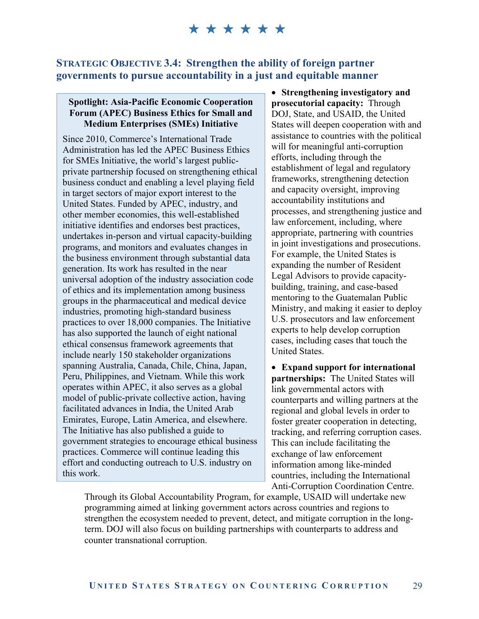#### **STRATEGIC OBJECTIVE 3.4: Strengthen the ability of foreign partner governments to pursue accountability in a just and equitable manner**

#### **Spotlight: Asia-Pacific Economic Cooperation Forum (APEC) Business Ethics for Small and Medium Enterprises (SMEs) Initiative**

Since 2010, Commerce's International Trade Administration has led the APEC Business Ethics for SMEs Initiative, the world's largest publicprivate partnership focused on strengthening ethical business conduct and enabling a level playing field in target sectors of major export interest to the United States. Funded by APEC, industry, and other member economies, this well-established initiative identifies and endorses best practices, undertakes in-person and virtual capacity-building programs, and monitors and evaluates changes in the business environment through substantial data generation. Its work has resulted in the near universal adoption of the industry association code of ethics and its implementation among business groups in the pharmaceutical and medical device industries, promoting high-standard business practices to over 18,000 companies. The Initiative has also supported the launch of eight national ethical consensus framework agreements that include nearly 150 stakeholder organizations spanning Australia, Canada, Chile, China, Japan, Peru, Philippines, and Vietnam. While this work operates within APEC, it also serves as a global model of public-private collective action, having facilitated advances in India, the United Arab Emirates, Europe, Latin America, and elsewhere. The Initiative has also published a guide to government strategies to encourage ethical business practices. Commerce will continue leading this effort and conducting outreach to U.S. industry on this work.

 **Strengthening investigatory and prosecutorial capacity:** Through DOJ, State, and USAID, the United States will deepen cooperation with and assistance to countries with the political will for meaningful anti-corruption efforts, including through the establishment of legal and regulatory frameworks, strengthening detection and capacity oversight, improving accountability institutions and processes, and strengthening justice and law enforcement, including, where appropriate, partnering with countries in joint investigations and prosecutions. For example, the United States is expanding the number of Resident Legal Advisors to provide capacitybuilding, training, and case-based mentoring to the Guatemalan Public Ministry, and making it easier to deploy U.S. prosecutors and law enforcement experts to help develop corruption cases, including cases that touch the United States.

 **Expand support for international partnerships:** The United States will link governmental actors with counterparts and willing partners at the regional and global levels in order to foster greater cooperation in detecting, tracking, and referring corruption cases. This can include facilitating the exchange of law enforcement information among like-minded countries, including the International Anti-Corruption Coordination Centre.

Through its Global Accountability Program, for example, USAID will undertake new programming aimed at linking government actors across countries and regions to strengthen the ecosystem needed to prevent, detect, and mitigate corruption in the longterm. DOJ will also focus on building partnerships with counterparts to address and counter transnational corruption.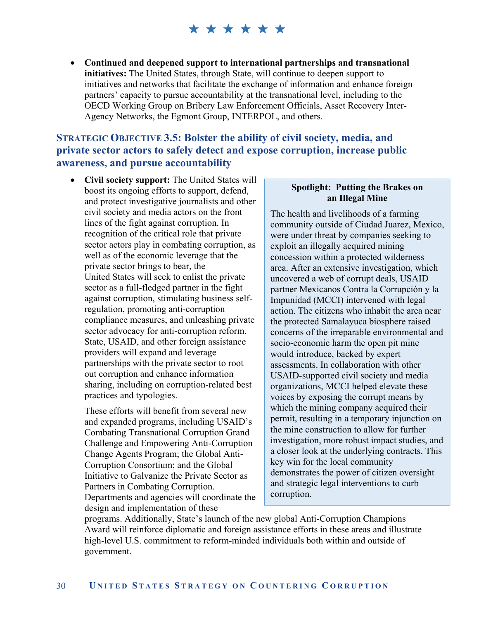**Continued and deepened support to international partnerships and transnational initiatives:** The United States, through State, will continue to deepen support to initiatives and networks that facilitate the exchange of information and enhance foreign partners' capacity to pursue accountability at the transnational level, including to the OECD Working Group on Bribery Law Enforcement Officials, Asset Recovery Inter-Agency Networks, the Egmont Group, INTERPOL, and others.

#### **STRATEGIC OBJECTIVE 3.5: Bolster the ability of civil society, media, and private sector actors to safely detect and expose corruption, increase public awareness, and pursue accountability**

 **Civil society support:** The United States will boost its ongoing efforts to support, defend, and protect investigative journalists and other civil society and media actors on the front lines of the fight against corruption. In recognition of the critical role that private sector actors play in combating corruption, as well as of the economic leverage that the private sector brings to bear, the United States will seek to enlist the private sector as a full-fledged partner in the fight against corruption, stimulating business selfregulation, promoting anti-corruption compliance measures, and unleashing private sector advocacy for anti-corruption reform. State, USAID, and other foreign assistance providers will expand and leverage partnerships with the private sector to root out corruption and enhance information sharing, including on corruption-related best practices and typologies.

These efforts will benefit from several new and expanded programs, including USAID's Combating Transnational Corruption Grand Challenge and Empowering Anti-Corruption Change Agents Program; the Global Anti-Corruption Consortium; and the Global Initiative to Galvanize the Private Sector as Partners in Combating Corruption. Departments and agencies will coordinate the design and implementation of these

#### **Spotlight: Putting the Brakes on an Illegal Mine**

The health and livelihoods of a farming community outside of Ciudad Juarez, Mexico, were under threat by companies seeking to exploit an illegally acquired mining concession within a protected wilderness area. After an extensive investigation, which uncovered a web of corrupt deals, USAID partner Mexicanos Contra la Corrupción y la Impunidad (MCCI) intervened with legal action. The citizens who inhabit the area near the protected Samalayuca biosphere raised concerns of the irreparable environmental and socio-economic harm the open pit mine would introduce, backed by expert assessments. In collaboration with other USAID-supported civil society and media organizations, MCCI helped elevate these voices by exposing the corrupt means by which the mining company acquired their permit, resulting in a temporary injunction on the mine construction to allow for further investigation, more robust impact studies, and a closer look at the underlying contracts. This key win for the local community demonstrates the power of citizen oversight and strategic legal interventions to curb corruption.

programs. Additionally, State's launch of the new global Anti-Corruption Champions Award will reinforce diplomatic and foreign assistance efforts in these areas and illustrate high-level U.S. commitment to reform-minded individuals both within and outside of government.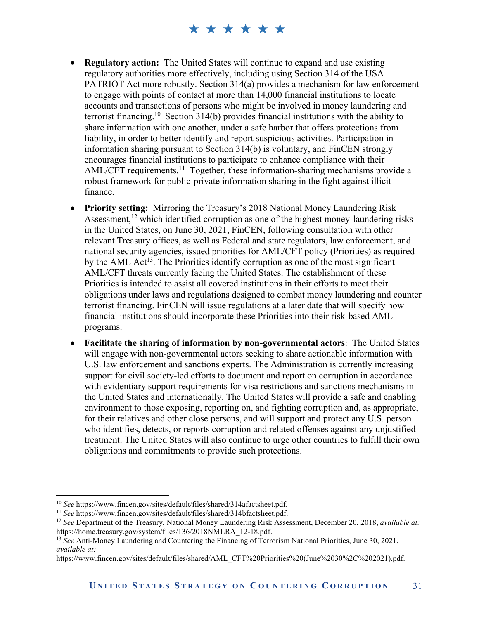- **Regulatory action:** The United States will continue to expand and use existing regulatory authorities more effectively, including using Section 314 of the USA PATRIOT Act more robustly. Section 314(a) provides a mechanism for law enforcement to engage with points of contact at more than 14,000 financial institutions to locate accounts and transactions of persons who might be involved in money laundering and terrorist financing.<sup>10</sup> Section 314(b) provides financial institutions with the ability to share information with one another, under a safe harbor that offers protections from liability, in order to better identify and report suspicious activities. Participation in information sharing pursuant to Section 314(b) is voluntary, and FinCEN strongly encourages financial institutions to participate to enhance compliance with their AML/CFT requirements.<sup>11</sup> Together, these information-sharing mechanisms provide a robust framework for public-private information sharing in the fight against illicit finance.
- **Priority setting:** Mirroring the Treasury's 2018 National Money Laundering Risk Assessment,<sup>12</sup> which identified corruption as one of the highest money-laundering risks in the United States, on June 30, 2021, FinCEN, following consultation with other relevant Treasury offices, as well as Federal and state regulators, law enforcement, and national security agencies, issued priorities for AML/CFT policy (Priorities) as required by the AML  $Act^{13}$ . The Priorities identify corruption as one of the most significant AML/CFT threats currently facing the United States. The establishment of these Priorities is intended to assist all covered institutions in their efforts to meet their obligations under laws and regulations designed to combat money laundering and counter terrorist financing. FinCEN will issue regulations at a later date that will specify how financial institutions should incorporate these Priorities into their risk-based AML programs.
- **Facilitate the sharing of information by non-governmental actors**: The United States will engage with non-governmental actors seeking to share actionable information with U.S. law enforcement and sanctions experts. The Administration is currently increasing support for civil society-led efforts to document and report on corruption in accordance with evidentiary support requirements for visa restrictions and sanctions mechanisms in the United States and internationally. The United States will provide a safe and enabling environment to those exposing, reporting on, and fighting corruption and, as appropriate, for their relatives and other close persons, and will support and protect any U.S. person who identifies, detects, or reports corruption and related offenses against any unjustified treatment. The United States will also continue to urge other countries to fulfill their own obligations and commitments to provide such protections.

 $\overline{a}$ 

<sup>&</sup>lt;sup>10</sup> See https://www.fincen.gov/sites/default/files/shared/314afactsheet.pdf.<br><sup>11</sup> See https://www.fincen.gov/sites/default/files/shared/314bfactsheet.pdf.<br><sup>12</sup> See Department of the Treasury, National Money Laundering Ri https://home.treasury.gov/system/files/136/2018NMLRA\_12-18.pdf.

<sup>13</sup> *See* Anti-Money Laundering and Countering the Financing of Terrorism National Priorities, June 30, 2021, *available at:* 

https://www.fincen.gov/sites/default/files/shared/AML\_CFT%20Priorities%20(June%2030%2C%202021).pdf.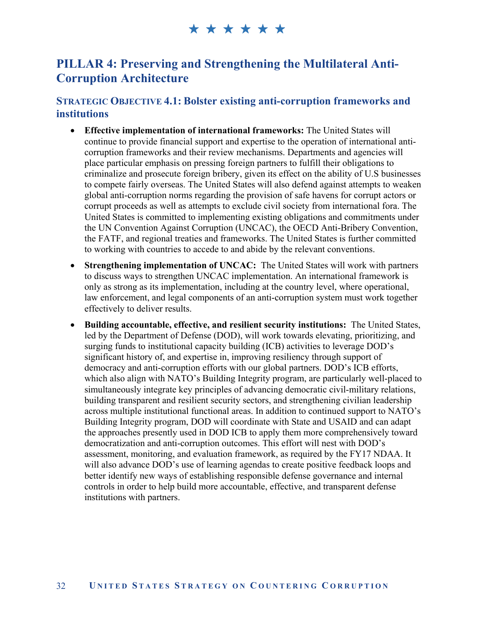#### **PILLAR 4: Preserving and Strengthening the Multilateral Anti-Corruption Architecture**

#### **STRATEGIC OBJECTIVE 4.1: Bolster existing anti-corruption frameworks and institutions**

- **Effective implementation of international frameworks:** The United States will continue to provide financial support and expertise to the operation of international anticorruption frameworks and their review mechanisms. Departments and agencies will place particular emphasis on pressing foreign partners to fulfill their obligations to criminalize and prosecute foreign bribery, given its effect on the ability of U.S businesses to compete fairly overseas. The United States will also defend against attempts to weaken global anti-corruption norms regarding the provision of safe havens for corrupt actors or corrupt proceeds as well as attempts to exclude civil society from international fora. The United States is committed to implementing existing obligations and commitments under the UN Convention Against Corruption (UNCAC), the OECD Anti-Bribery Convention, the FATF, and regional treaties and frameworks. The United States is further committed to working with countries to accede to and abide by the relevant conventions.
- **Strengthening implementation of UNCAC:** The United States will work with partners to discuss ways to strengthen UNCAC implementation. An international framework is only as strong as its implementation, including at the country level, where operational, law enforcement, and legal components of an anti-corruption system must work together effectively to deliver results.
- **Building accountable, effective, and resilient security institutions:** The United States, led by the Department of Defense (DOD), will work towards elevating, prioritizing, and surging funds to institutional capacity building (ICB) activities to leverage DOD's significant history of, and expertise in, improving resiliency through support of democracy and anti-corruption efforts with our global partners. DOD's ICB efforts, which also align with NATO's Building Integrity program, are particularly well-placed to simultaneously integrate key principles of advancing democratic civil-military relations, building transparent and resilient security sectors, and strengthening civilian leadership across multiple institutional functional areas. In addition to continued support to NATO's Building Integrity program, DOD will coordinate with State and USAID and can adapt the approaches presently used in DOD ICB to apply them more comprehensively toward democratization and anti-corruption outcomes. This effort will nest with DOD's assessment, monitoring, and evaluation framework, as required by the FY17 NDAA. It will also advance DOD's use of learning agendas to create positive feedback loops and better identify new ways of establishing responsible defense governance and internal controls in order to help build more accountable, effective, and transparent defense institutions with partners.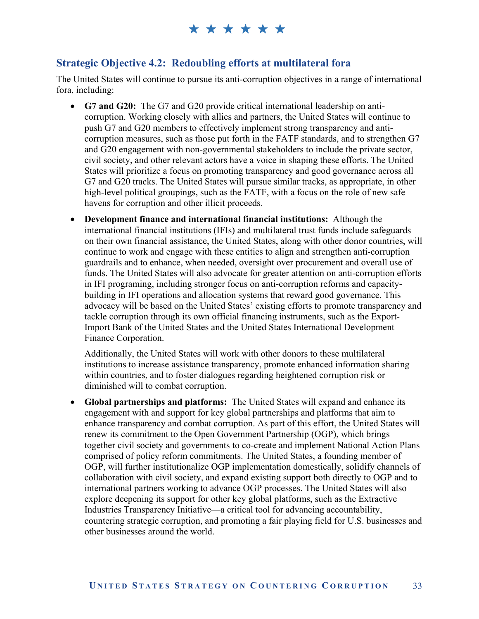#### **Strategic Objective 4.2: Redoubling efforts at multilateral fora**

The United States will continue to pursue its anti-corruption objectives in a range of international fora, including:

- **G7 and G20:** The G7 and G20 provide critical international leadership on anticorruption. Working closely with allies and partners, the United States will continue to push G7 and G20 members to effectively implement strong transparency and anticorruption measures, such as those put forth in the FATF standards, and to strengthen G7 and G20 engagement with non-governmental stakeholders to include the private sector, civil society, and other relevant actors have a voice in shaping these efforts. The United States will prioritize a focus on promoting transparency and good governance across all G7 and G20 tracks. The United States will pursue similar tracks, as appropriate, in other high-level political groupings, such as the FATF, with a focus on the role of new safe havens for corruption and other illicit proceeds.
- **Development finance and international financial institutions:** Although the international financial institutions (IFIs) and multilateral trust funds include safeguards on their own financial assistance, the United States, along with other donor countries, will continue to work and engage with these entities to align and strengthen anti-corruption guardrails and to enhance, when needed, oversight over procurement and overall use of funds. The United States will also advocate for greater attention on anti-corruption efforts in IFI programing, including stronger focus on anti-corruption reforms and capacitybuilding in IFI operations and allocation systems that reward good governance. This advocacy will be based on the United States' existing efforts to promote transparency and tackle corruption through its own official financing instruments, such as the Export-Import Bank of the United States and the United States International Development Finance Corporation.

Additionally, the United States will work with other donors to these multilateral institutions to increase assistance transparency, promote enhanced information sharing within countries, and to foster dialogues regarding heightened corruption risk or diminished will to combat corruption.

 **Global partnerships and platforms:** The United States will expand and enhance its engagement with and support for key global partnerships and platforms that aim to enhance transparency and combat corruption. As part of this effort, the United States will renew its commitment to the Open Government Partnership (OGP), which brings together civil society and governments to co-create and implement National Action Plans comprised of policy reform commitments. The United States, a founding member of OGP, will further institutionalize OGP implementation domestically, solidify channels of collaboration with civil society, and expand existing support both directly to OGP and to international partners working to advance OGP processes. The United States will also explore deepening its support for other key global platforms, such as the Extractive Industries Transparency Initiative—a critical tool for advancing accountability, countering strategic corruption, and promoting a fair playing field for U.S. businesses and other businesses around the world.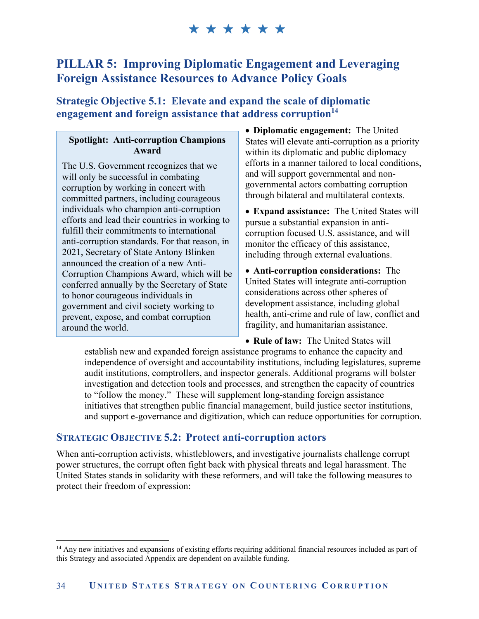#### **PILLAR 5: Improving Diplomatic Engagement and Leveraging Foreign Assistance Resources to Advance Policy Goals**

**Strategic Objective 5.1: Elevate and expand the scale of diplomatic engagement and foreign assistance that address corruption14**

#### **Spotlight: Anti-corruption Champions Award**

The U.S. Government recognizes that we will only be successful in combating corruption by working in concert with committed partners, including courageous individuals who champion anti-corruption efforts and lead their countries in working to fulfill their commitments to international anti-corruption standards. For that reason, in 2021, Secretary of State Antony Blinken announced the creation of a new Anti-Corruption Champions Award, which will be conferred annually by the Secretary of State to honor courageous individuals in government and civil society working to prevent, expose, and combat corruption around the world.

 $\overline{a}$ 

 **Diplomatic engagement:** The United States will elevate anti-corruption as a priority within its diplomatic and public diplomacy efforts in a manner tailored to local conditions, and will support governmental and nongovernmental actors combatting corruption through bilateral and multilateral contexts.

 **Expand assistance:** The United States will pursue a substantial expansion in anticorruption focused U.S. assistance, and will monitor the efficacy of this assistance, including through external evaluations.

 **Anti-corruption considerations:** The United States will integrate anti-corruption considerations across other spheres of development assistance, including global health, anti-crime and rule of law, conflict and fragility, and humanitarian assistance.

 **Rule of law:** The United States will establish new and expanded foreign assistance programs to enhance the capacity and independence of oversight and accountability institutions, including legislatures, supreme audit institutions, comptrollers, and inspector generals. Additional programs will bolster investigation and detection tools and processes, and strengthen the capacity of countries to "follow the money." These will supplement long-standing foreign assistance initiatives that strengthen public financial management, build justice sector institutions, and support e-governance and digitization, which can reduce opportunities for corruption.

#### **STRATEGIC OBJECTIVE 5.2: Protect anti-corruption actors**

When anti-corruption activists, whistleblowers, and investigative journalists challenge corrupt power structures, the corrupt often fight back with physical threats and legal harassment. The United States stands in solidarity with these reformers, and will take the following measures to protect their freedom of expression:

<sup>&</sup>lt;sup>14</sup> Any new initiatives and expansions of existing efforts requiring additional financial resources included as part of this Strategy and associated Appendix are dependent on available funding.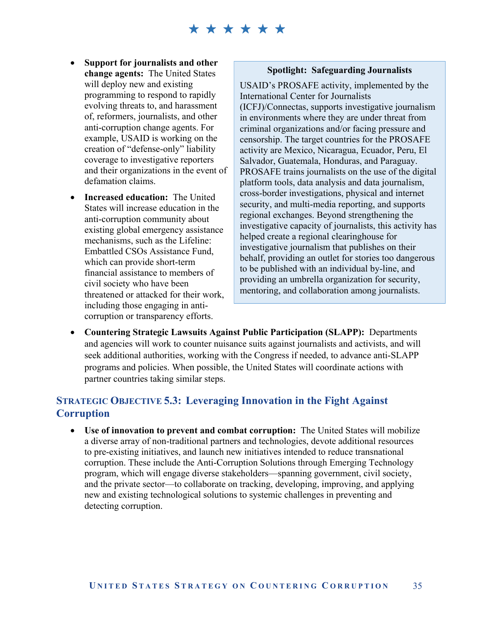- **Support for journalists and other change agents:** The United States will deploy new and existing programming to respond to rapidly evolving threats to, and harassment of, reformers, journalists, and other anti-corruption change agents. For example, USAID is working on the creation of "defense-only" liability coverage to investigative reporters and their organizations in the event of defamation claims.
- **Increased education:** The United States will increase education in the anti-corruption community about existing global emergency assistance mechanisms, such as the Lifeline: Embattled CSOs Assistance Fund, which can provide short-term financial assistance to members of civil society who have been threatened or attacked for their work, including those engaging in anticorruption or transparency efforts.

#### **Spotlight: Safeguarding Journalists**

USAID's PROSAFE activity, implemented by the International Center for Journalists (ICFJ)/Connectas, supports investigative journalism in environments where they are under threat from criminal organizations and/or facing pressure and censorship. The target countries for the PROSAFE activity are Mexico, Nicaragua, Ecuador, Peru, El Salvador, Guatemala, Honduras, and Paraguay. PROSAFE trains journalists on the use of the digital platform tools, data analysis and data journalism, cross-border investigations, physical and internet security, and multi-media reporting, and supports regional exchanges. Beyond strengthening the investigative capacity of journalists, this activity has helped create a regional clearinghouse for investigative journalism that publishes on their behalf, providing an outlet for stories too dangerous to be published with an individual by-line, and providing an umbrella organization for security, mentoring, and collaboration among journalists.

 **Countering Strategic Lawsuits Against Public Participation (SLAPP):** Departments and agencies will work to counter nuisance suits against journalists and activists, and will seek additional authorities, working with the Congress if needed, to advance anti-SLAPP programs and policies. When possible, the United States will coordinate actions with partner countries taking similar steps.

#### **STRATEGIC OBJECTIVE 5.3: Leveraging Innovation in the Fight Against Corruption**

 **Use of innovation to prevent and combat corruption:** The United States will mobilize a diverse array of non-traditional partners and technologies, devote additional resources to pre-existing initiatives, and launch new initiatives intended to reduce transnational corruption. These include the Anti-Corruption Solutions through Emerging Technology program, which will engage diverse stakeholders—spanning government, civil society, and the private sector—to collaborate on tracking, developing, improving, and applying new and existing technological solutions to systemic challenges in preventing and detecting corruption.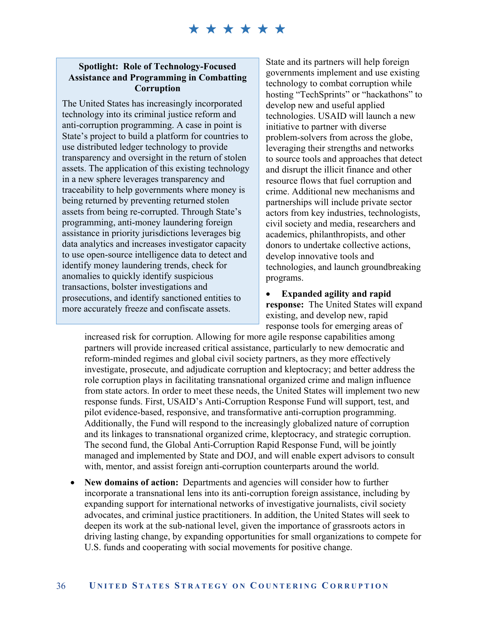### \*\*\*\*\*\*

#### **Spotlight: Role of Technology-Focused Assistance and Programming in Combatting Corruption**

The United States has increasingly incorporated technology into its criminal justice reform and anti-corruption programming. A case in point is State's project to build a platform for countries to use distributed ledger technology to provide transparency and oversight in the return of stolen assets. The application of this existing technology in a new sphere leverages transparency and traceability to help governments where money is being returned by preventing returned stolen assets from being re-corrupted. Through State's programming, anti-money laundering foreign assistance in priority jurisdictions leverages big data analytics and increases investigator capacity to use open-source intelligence data to detect and identify money laundering trends, check for anomalies to quickly identify suspicious transactions, bolster investigations and prosecutions, and identify sanctioned entities to more accurately freeze and confiscate assets.

State and its partners will help foreign governments implement and use existing technology to combat corruption while hosting "TechSprints" or "hackathons" to develop new and useful applied technologies. USAID will launch a new initiative to partner with diverse problem-solvers from across the globe, leveraging their strengths and networks to source tools and approaches that detect and disrupt the illicit finance and other resource flows that fuel corruption and crime. Additional new mechanisms and partnerships will include private sector actors from key industries, technologists, civil society and media, researchers and academics, philanthropists, and other donors to undertake collective actions, develop innovative tools and technologies, and launch groundbreaking programs.

 **Expanded agility and rapid response:** The United States will expand existing, and develop new, rapid response tools for emerging areas of

increased risk for corruption. Allowing for more agile response capabilities among partners will provide increased critical assistance, particularly to new democratic and reform-minded regimes and global civil society partners, as they more effectively investigate, prosecute, and adjudicate corruption and kleptocracy; and better address the role corruption plays in facilitating transnational organized crime and malign influence from state actors. In order to meet these needs, the United States will implement two new response funds. First, USAID's Anti-Corruption Response Fund will support, test, and pilot evidence-based, responsive, and transformative anti-corruption programming. Additionally, the Fund will respond to the increasingly globalized nature of corruption and its linkages to transnational organized crime, kleptocracy, and strategic corruption. The second fund, the Global Anti-Corruption Rapid Response Fund, will be jointly managed and implemented by State and DOJ, and will enable expert advisors to consult with, mentor, and assist foreign anti-corruption counterparts around the world.

 **New domains of action:** Departments and agencies will consider how to further incorporate a transnational lens into its anti-corruption foreign assistance, including by expanding support for international networks of investigative journalists, civil society advocates, and criminal justice practitioners. In addition, the United States will seek to deepen its work at the sub-national level, given the importance of grassroots actors in driving lasting change, by expanding opportunities for small organizations to compete for U.S. funds and cooperating with social movements for positive change.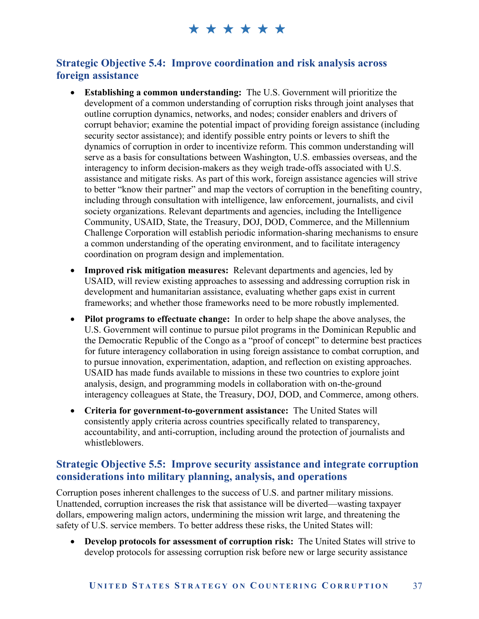#### **Strategic Objective 5.4: Improve coordination and risk analysis across foreign assistance**

- **Establishing a common understanding:** The U.S. Government will prioritize the development of a common understanding of corruption risks through joint analyses that outline corruption dynamics, networks, and nodes; consider enablers and drivers of corrupt behavior; examine the potential impact of providing foreign assistance (including security sector assistance); and identify possible entry points or levers to shift the dynamics of corruption in order to incentivize reform. This common understanding will serve as a basis for consultations between Washington, U.S. embassies overseas, and the interagency to inform decision-makers as they weigh trade-offs associated with U.S. assistance and mitigate risks. As part of this work, foreign assistance agencies will strive to better "know their partner" and map the vectors of corruption in the benefiting country, including through consultation with intelligence, law enforcement, journalists, and civil society organizations. Relevant departments and agencies, including the Intelligence Community, USAID, State, the Treasury, DOJ, DOD, Commerce, and the Millennium Challenge Corporation will establish periodic information-sharing mechanisms to ensure a common understanding of the operating environment, and to facilitate interagency coordination on program design and implementation.
- **Improved risk mitigation measures:** Relevant departments and agencies, led by USAID, will review existing approaches to assessing and addressing corruption risk in development and humanitarian assistance, evaluating whether gaps exist in current frameworks; and whether those frameworks need to be more robustly implemented.
- **Pilot programs to effectuate change:** In order to help shape the above analyses, the U.S. Government will continue to pursue pilot programs in the Dominican Republic and the Democratic Republic of the Congo as a "proof of concept" to determine best practices for future interagency collaboration in using foreign assistance to combat corruption, and to pursue innovation, experimentation, adaption, and reflection on existing approaches. USAID has made funds available to missions in these two countries to explore joint analysis, design, and programming models in collaboration with on-the-ground interagency colleagues at State, the Treasury, DOJ, DOD, and Commerce, among others.
- **Criteria for government-to-government assistance:** The United States will consistently apply criteria across countries specifically related to transparency, accountability, and anti-corruption, including around the protection of journalists and whistleblowers.

#### **Strategic Objective 5.5: Improve security assistance and integrate corruption considerations into military planning, analysis, and operations**

Corruption poses inherent challenges to the success of U.S. and partner military missions. Unattended, corruption increases the risk that assistance will be diverted—wasting taxpayer dollars, empowering malign actors, undermining the mission writ large, and threatening the safety of U.S. service members. To better address these risks, the United States will:

 **Develop protocols for assessment of corruption risk:** The United States will strive to develop protocols for assessing corruption risk before new or large security assistance